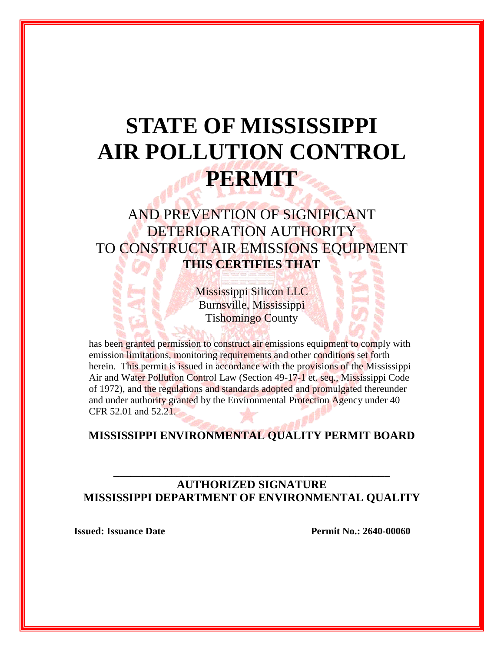# **STATE OF MISSISSIPPI AIR POLLUTION CONTROL PERMIT**

AND PREVENTION OF SIGNIFICANT DETERIORATION AUTHORITY TO CONSTRUCT AIR EMISSIONS EQUIPMENT **THIS CERTIFIES THAT** 

> Mississippi Silicon LLC Burnsville, Mississippi Tishomingo County

has been granted permission to construct air emissions equipment to comply with emission limitations, monitoring requirements and other conditions set forth herein. This permit is issued in accordance with the provisions of the Mississippi Air and Water Pollution Control Law (Section 49-17-1 et. seq., Mississippi Code of 1972), and the regulations and standards adopted and promulgated thereunder and under authority granted by the Environmental Protection Agency under 40 CFR 52.01 and 52.21.

# **MISSISSIPPI ENVIRONMENTAL QUALITY PERMIT BOARD**

## **AUTHORIZED SIGNATURE MISSISSIPPI DEPARTMENT OF ENVIRONMENTAL QUALITY**

**\_\_\_\_\_\_\_\_\_\_\_\_\_\_\_\_\_\_\_\_\_\_\_\_\_\_\_\_\_\_\_\_\_\_\_\_\_\_\_\_\_\_\_\_\_\_\_\_** 

**Issued: Issuance Date** Permit No.: 2640-00060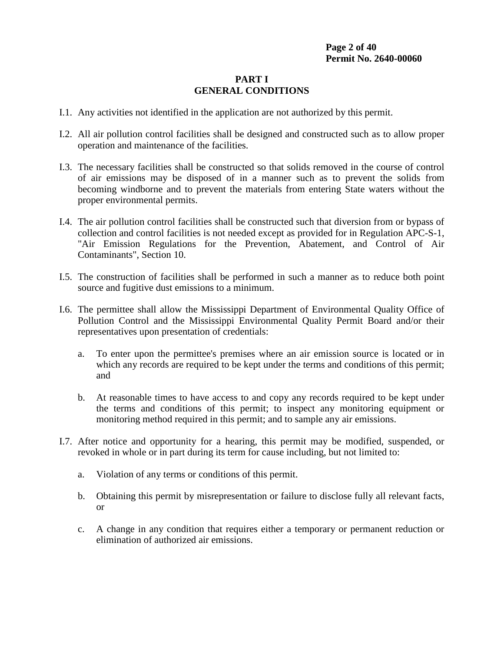## **PART I GENERAL CONDITIONS**

- I.1. Any activities not identified in the application are not authorized by this permit.
- I.2. All air pollution control facilities shall be designed and constructed such as to allow proper operation and maintenance of the facilities.
- I.3. The necessary facilities shall be constructed so that solids removed in the course of control of air emissions may be disposed of in a manner such as to prevent the solids from becoming windborne and to prevent the materials from entering State waters without the proper environmental permits.
- I.4. The air pollution control facilities shall be constructed such that diversion from or bypass of collection and control facilities is not needed except as provided for in Regulation APC-S-1, "Air Emission Regulations for the Prevention, Abatement, and Control of Air Contaminants", Section 10.
- I.5. The construction of facilities shall be performed in such a manner as to reduce both point source and fugitive dust emissions to a minimum.
- I.6. The permittee shall allow the Mississippi Department of Environmental Quality Office of Pollution Control and the Mississippi Environmental Quality Permit Board and/or their representatives upon presentation of credentials:
	- a. To enter upon the permittee's premises where an air emission source is located or in which any records are required to be kept under the terms and conditions of this permit; and
	- b. At reasonable times to have access to and copy any records required to be kept under the terms and conditions of this permit; to inspect any monitoring equipment or monitoring method required in this permit; and to sample any air emissions.
- I.7. After notice and opportunity for a hearing, this permit may be modified, suspended, or revoked in whole or in part during its term for cause including, but not limited to:
	- a. Violation of any terms or conditions of this permit.
	- b. Obtaining this permit by misrepresentation or failure to disclose fully all relevant facts, or
	- c. A change in any condition that requires either a temporary or permanent reduction or elimination of authorized air emissions.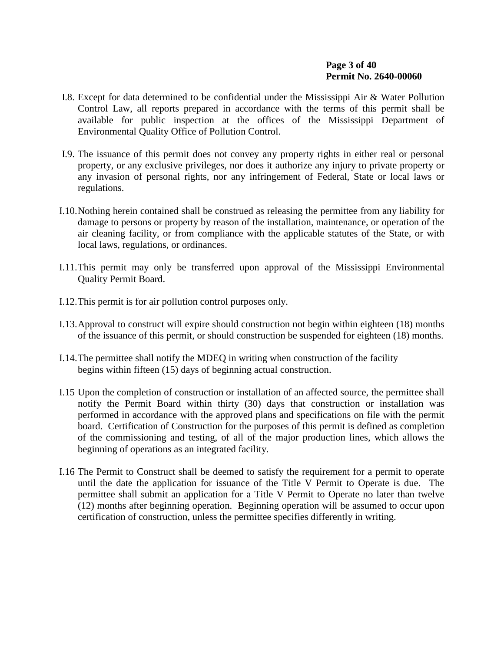#### **Page 3 of 40 Permit No. 2640-00060**

- I.8. Except for data determined to be confidential under the Mississippi Air & Water Pollution Control Law, all reports prepared in accordance with the terms of this permit shall be available for public inspection at the offices of the Mississippi Department of Environmental Quality Office of Pollution Control.
- I.9. The issuance of this permit does not convey any property rights in either real or personal property, or any exclusive privileges, nor does it authorize any injury to private property or any invasion of personal rights, nor any infringement of Federal, State or local laws or regulations.
- I.10. Nothing herein contained shall be construed as releasing the permittee from any liability for damage to persons or property by reason of the installation, maintenance, or operation of the air cleaning facility, or from compliance with the applicable statutes of the State, or with local laws, regulations, or ordinances.
- I.11. This permit may only be transferred upon approval of the Mississippi Environmental Quality Permit Board.
- I.12. This permit is for air pollution control purposes only.
- I.13. Approval to construct will expire should construction not begin within eighteen (18) months of the issuance of this permit, or should construction be suspended for eighteen (18) months.
- I.14. The permittee shall notify the MDEQ in writing when construction of the facility begins within fifteen (15) days of beginning actual construction.
- I.15 Upon the completion of construction or installation of an affected source, the permittee shall notify the Permit Board within thirty (30) days that construction or installation was performed in accordance with the approved plans and specifications on file with the permit board. Certification of Construction for the purposes of this permit is defined as completion of the commissioning and testing, of all of the major production lines, which allows the beginning of operations as an integrated facility.
- I.16 The Permit to Construct shall be deemed to satisfy the requirement for a permit to operate until the date the application for issuance of the Title V Permit to Operate is due. The permittee shall submit an application for a Title V Permit to Operate no later than twelve (12) months after beginning operation. Beginning operation will be assumed to occur upon certification of construction, unless the permittee specifies differently in writing.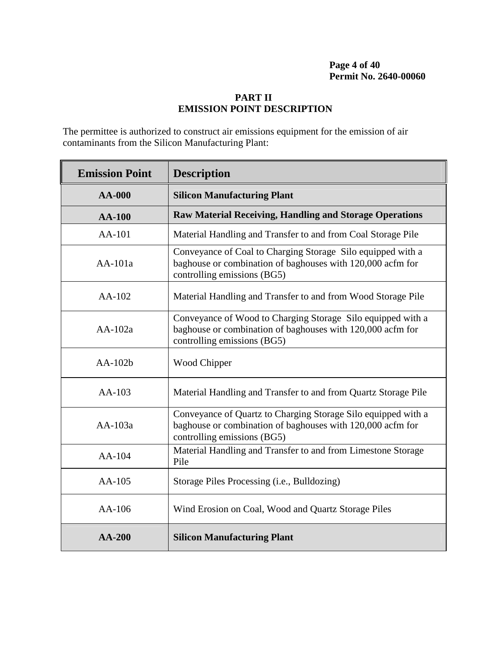**Page 4 of 40 Permit No. 2640-00060** 

## **PART II EMISSION POINT DESCRIPTION**

The permittee is authorized to construct air emissions equipment for the emission of air contaminants from the Silicon Manufacturing Plant:

| <b>Emission Point</b> | <b>Description</b>                                                                                                                                         |
|-----------------------|------------------------------------------------------------------------------------------------------------------------------------------------------------|
| $AA-000$              | <b>Silicon Manufacturing Plant</b>                                                                                                                         |
| <b>AA-100</b>         | <b>Raw Material Receiving, Handling and Storage Operations</b>                                                                                             |
| $AA-101$              | Material Handling and Transfer to and from Coal Storage Pile                                                                                               |
| $AA-101a$             | Conveyance of Coal to Charging Storage Silo equipped with a<br>baghouse or combination of baghouses with 120,000 acfm for<br>controlling emissions (BG5)   |
| $AA-102$              | Material Handling and Transfer to and from Wood Storage Pile                                                                                               |
| $AA-102a$             | Conveyance of Wood to Charging Storage Silo equipped with a<br>baghouse or combination of baghouses with 120,000 acfm for<br>controlling emissions (BG5)   |
| AA-102b               | Wood Chipper                                                                                                                                               |
| $AA-103$              | Material Handling and Transfer to and from Quartz Storage Pile                                                                                             |
| AA-103a               | Conveyance of Quartz to Charging Storage Silo equipped with a<br>baghouse or combination of baghouses with 120,000 acfm for<br>controlling emissions (BG5) |
| $AA-104$              | Material Handling and Transfer to and from Limestone Storage<br>Pile                                                                                       |
| $AA-105$              | Storage Piles Processing (i.e., Bulldozing)                                                                                                                |
| $AA-106$              | Wind Erosion on Coal, Wood and Quartz Storage Piles                                                                                                        |
| $AA-200$              | <b>Silicon Manufacturing Plant</b>                                                                                                                         |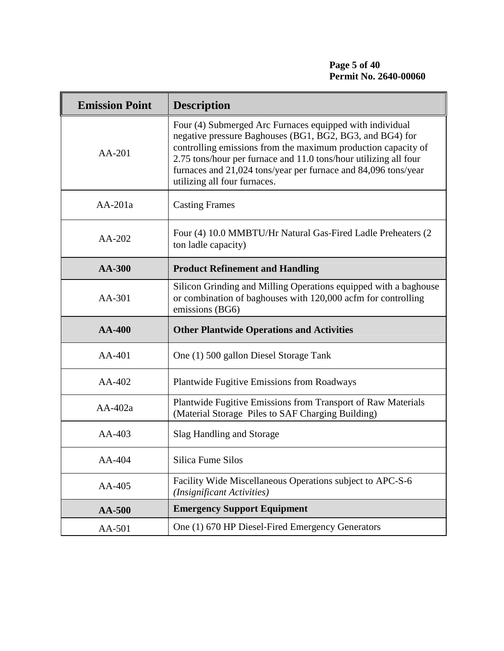## **Page 5 of 40 Permit No. 2640-00060**

| <b>Emission Point</b> | <b>Description</b>                                                                                                                                                                                                                                                                                                                                          |
|-----------------------|-------------------------------------------------------------------------------------------------------------------------------------------------------------------------------------------------------------------------------------------------------------------------------------------------------------------------------------------------------------|
| $AA-201$              | Four (4) Submerged Arc Furnaces equipped with individual<br>negative pressure Baghouses (BG1, BG2, BG3, and BG4) for<br>controlling emissions from the maximum production capacity of<br>2.75 tons/hour per furnace and 11.0 tons/hour utilizing all four<br>furnaces and 21,024 tons/year per furnace and 84,096 tons/year<br>utilizing all four furnaces. |
| $AA-201a$             | <b>Casting Frames</b>                                                                                                                                                                                                                                                                                                                                       |
| $AA-202$              | Four (4) 10.0 MMBTU/Hr Natural Gas-Fired Ladle Preheaters (2)<br>ton ladle capacity)                                                                                                                                                                                                                                                                        |
| <b>AA-300</b>         | <b>Product Refinement and Handling</b>                                                                                                                                                                                                                                                                                                                      |
| $AA-301$              | Silicon Grinding and Milling Operations equipped with a baghouse<br>or combination of baghouses with 120,000 acfm for controlling<br>emissions (BG6)                                                                                                                                                                                                        |
| $AA-400$              | <b>Other Plantwide Operations and Activities</b>                                                                                                                                                                                                                                                                                                            |
| $AA-401$              | One (1) 500 gallon Diesel Storage Tank                                                                                                                                                                                                                                                                                                                      |
| $AA-402$              | <b>Plantwide Fugitive Emissions from Roadways</b>                                                                                                                                                                                                                                                                                                           |
| $AA-402a$             | Plantwide Fugitive Emissions from Transport of Raw Materials<br>(Material Storage Piles to SAF Charging Building)                                                                                                                                                                                                                                           |
| $AA-403$              | Slag Handling and Storage                                                                                                                                                                                                                                                                                                                                   |
| AA-404                | Silica Fume Silos                                                                                                                                                                                                                                                                                                                                           |
| AA-405                | Facility Wide Miscellaneous Operations subject to APC-S-6<br>(Insignificant Activities)                                                                                                                                                                                                                                                                     |
| <b>AA-500</b>         | <b>Emergency Support Equipment</b>                                                                                                                                                                                                                                                                                                                          |
| AA-501                | One (1) 670 HP Diesel-Fired Emergency Generators                                                                                                                                                                                                                                                                                                            |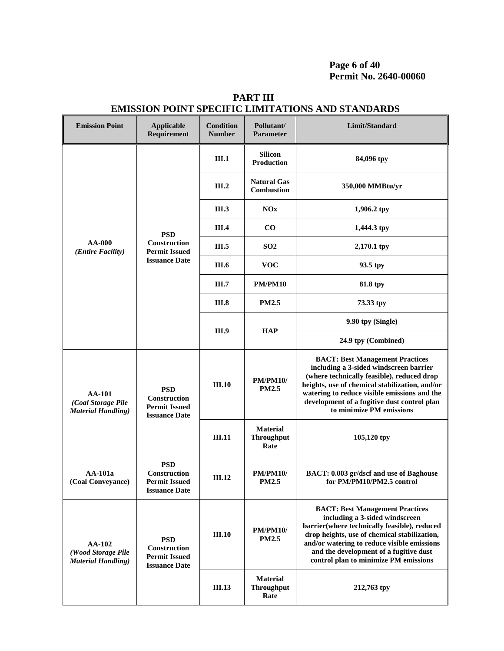## **Page 6 of 40 Permit No. 2640-00060**

| <b>Emission Point</b>                                             | <b>Applicable</b><br>Requirement                                                  | <b>Condition</b><br><b>Number</b> | Pollutant/<br>Parameter                      | Limit/Standard                                                                                                                                                                                                                                                                                              |
|-------------------------------------------------------------------|-----------------------------------------------------------------------------------|-----------------------------------|----------------------------------------------|-------------------------------------------------------------------------------------------------------------------------------------------------------------------------------------------------------------------------------------------------------------------------------------------------------------|
|                                                                   |                                                                                   | III.1                             | <b>Silicon</b><br><b>Production</b>          | 84,096 tpy                                                                                                                                                                                                                                                                                                  |
|                                                                   |                                                                                   | III.2                             | <b>Natural Gas</b><br><b>Combustion</b>      | 350,000 MMBtu/yr                                                                                                                                                                                                                                                                                            |
|                                                                   |                                                                                   | <b>III.3</b>                      | <b>NOx</b>                                   | 1,906.2 tpy                                                                                                                                                                                                                                                                                                 |
|                                                                   | <b>PSD</b>                                                                        | <b>III.4</b>                      | $\bf CO$                                     | 1,444.3 tpy                                                                                                                                                                                                                                                                                                 |
| $AA-000$<br>(Entire Facility)                                     | <b>Construction</b><br><b>Permit Issued</b>                                       | <b>III.5</b>                      | SO <sub>2</sub>                              | 2,170.1 tpy                                                                                                                                                                                                                                                                                                 |
|                                                                   | <b>Issuance Date</b>                                                              | <b>III.6</b>                      | <b>VOC</b>                                   | $93.5$ tpy                                                                                                                                                                                                                                                                                                  |
|                                                                   |                                                                                   | <b>III.7</b>                      | PM/PM10                                      | 81.8 tpy                                                                                                                                                                                                                                                                                                    |
|                                                                   |                                                                                   | <b>III.8</b>                      | <b>PM2.5</b>                                 | 73.33 tpy                                                                                                                                                                                                                                                                                                   |
|                                                                   |                                                                                   | <b>III.9</b>                      | <b>HAP</b>                                   | 9.90 tpy (Single)                                                                                                                                                                                                                                                                                           |
|                                                                   |                                                                                   |                                   |                                              | 24.9 tpy (Combined)                                                                                                                                                                                                                                                                                         |
| <b>AA-101</b><br>(Coal Storage Pile<br><b>Material Handling</b> ) | <b>PSD</b><br><b>Construction</b><br><b>Permit Issued</b><br><b>Issuance Date</b> | <b>III.10</b>                     | <b>PM/PM10/</b><br><b>PM2.5</b>              | <b>BACT: Best Management Practices</b><br>including a 3-sided windscreen barrier<br>(where technically feasible), reduced drop<br>heights, use of chemical stabilization, and/or<br>watering to reduce visible emissions and the<br>development of a fugitive dust control plan<br>to minimize PM emissions |
|                                                                   |                                                                                   | <b>III.11</b>                     | <b>Material</b><br><b>Throughput</b><br>Rate | 105,120 tpy                                                                                                                                                                                                                                                                                                 |
| <b>AA-101a</b><br>(Coal Conveyance)                               | <b>PSD</b><br>Construction<br>Permit Issued<br><b>Issuance Date</b>               | <b>III.12</b>                     | <b>PM/PM10/</b><br><b>PM2.5</b>              | BACT: 0.003 gr/dscf and use of Baghouse<br>for PM/PM10/PM2.5 control                                                                                                                                                                                                                                        |
| <b>AA-102</b><br>(Wood Storage Pile<br><b>Material Handling)</b>  | <b>PSD</b><br>Construction<br><b>Permit Issued</b><br><b>Issuance Date</b>        | <b>III.10</b>                     | <b>PM/PM10/</b><br>PM2.5                     | <b>BACT: Best Management Practices</b><br>including a 3-sided windscreen<br>barrier(where technically feasible), reduced<br>drop heights, use of chemical stabilization,<br>and/or watering to reduce visible emissions<br>and the development of a fugitive dust<br>control plan to minimize PM emissions  |
|                                                                   |                                                                                   | <b>III.13</b>                     | <b>Material</b><br><b>Throughput</b><br>Rate | 212,763 tpy                                                                                                                                                                                                                                                                                                 |

## **PART III EMISSION POINT SPECIFIC LIMITATIONS AND STANDARDS**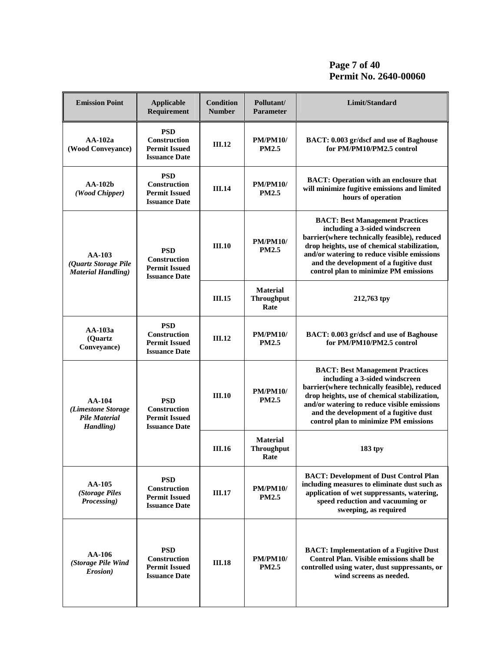## **Page 7 of 40 Permit No. 2640-00060**

| <b>Emission Point</b>                                                    | <b>Applicable</b><br>Requirement                                                  | <b>Condition</b><br><b>Number</b> | Pollutant/<br><b>Parameter</b>               | Limit/Standard                                                                                                                                                                                                                                                                                             |
|--------------------------------------------------------------------------|-----------------------------------------------------------------------------------|-----------------------------------|----------------------------------------------|------------------------------------------------------------------------------------------------------------------------------------------------------------------------------------------------------------------------------------------------------------------------------------------------------------|
| AA-102a<br>(Wood Conveyance)                                             | <b>PSD</b><br><b>Construction</b><br><b>Permit Issued</b><br><b>Issuance Date</b> | <b>III.12</b>                     | <b>PM/PM10/</b><br><b>PM2.5</b>              | BACT: 0.003 gr/dscf and use of Baghouse<br>for PM/PM10/PM2.5 control                                                                                                                                                                                                                                       |
| $AA-102b$<br>(Wood Chipper)                                              | <b>PSD</b><br>Construction<br><b>Permit Issued</b><br><b>Issuance Date</b>        | <b>III.14</b>                     | <b>PM/PM10/</b><br><b>PM2.5</b>              | <b>BACT: Operation with an enclosure that</b><br>will minimize fugitive emissions and limited<br>hours of operation                                                                                                                                                                                        |
| $AA-103$<br>(Quartz Storage Pile<br><b>Material Handling</b> )           | <b>PSD</b><br>Construction<br><b>Permit Issued</b><br><b>Issuance Date</b>        | <b>III.10</b>                     | <b>PM/PM10/</b><br><b>PM2.5</b>              | <b>BACT: Best Management Practices</b><br>including a 3-sided windscreen<br>barrier(where technically feasible), reduced<br>drop heights, use of chemical stabilization,<br>and/or watering to reduce visible emissions<br>and the development of a fugitive dust<br>control plan to minimize PM emissions |
|                                                                          |                                                                                   | <b>III.15</b>                     | <b>Material</b><br><b>Throughput</b><br>Rate | 212,763 tpy                                                                                                                                                                                                                                                                                                |
| AA-103a<br>(Quartz<br>Conveyance)                                        | <b>PSD</b><br><b>Construction</b><br><b>Permit Issued</b><br><b>Issuance Date</b> | <b>III.12</b>                     | <b>PM/PM10/</b><br><b>PM2.5</b>              | BACT: 0.003 gr/dscf and use of Baghouse<br>for PM/PM10/PM2.5 control                                                                                                                                                                                                                                       |
| <b>AA-104</b><br>(Limestone Storage<br><b>Pile Material</b><br>Handling) | <b>PSD</b><br><b>Construction</b><br><b>Permit Issued</b><br><b>Issuance Date</b> | <b>III.10</b>                     | <b>PM/PM10/</b><br><b>PM2.5</b>              | <b>BACT: Best Management Practices</b><br>including a 3-sided windscreen<br>barrier(where technically feasible), reduced<br>drop heights, use of chemical stabilization,<br>and/or watering to reduce visible emissions<br>and the development of a fugitive dust<br>control plan to minimize PM emissions |
|                                                                          |                                                                                   | <b>III.16</b>                     | <b>Material</b><br><b>Throughput</b><br>Rate | $183$ tpy                                                                                                                                                                                                                                                                                                  |
| $AA-105$<br>(Storage Piles<br>Processing)                                | <b>PSD</b><br><b>Construction</b><br><b>Permit Issued</b><br><b>Issuance Date</b> | <b>III.17</b>                     | <b>PM/PM10/</b><br><b>PM2.5</b>              | <b>BACT: Development of Dust Control Plan</b><br>including measures to eliminate dust such as<br>application of wet suppressants, watering,<br>speed reduction and vacuuming or<br>sweeping, as required                                                                                                   |
| AA-106<br>(Storage Pile Wind<br>Erosion)                                 | <b>PSD</b><br><b>Construction</b><br><b>Permit Issued</b><br><b>Issuance Date</b> | <b>III.18</b>                     | <b>PM/PM10/</b><br><b>PM2.5</b>              | <b>BACT: Implementation of a Fugitive Dust</b><br>Control Plan. Visible emissions shall be<br>controlled using water, dust suppressants, or<br>wind screens as needed.                                                                                                                                     |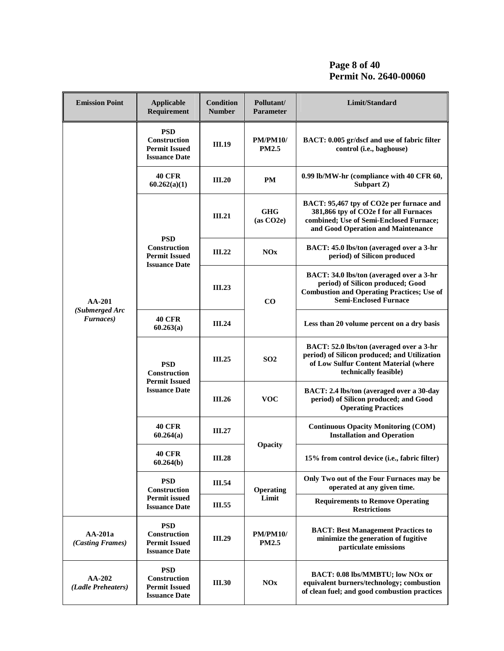## **Page 8 of 40 Permit No. 2640-00060**

| <b>Emission Point</b>                   | <b>Applicable</b><br>Requirement                                           | <b>Condition</b><br><b>Number</b> | Pollutant/<br><b>Parameter</b>  | Limit/Standard                                                                                                                                                      |
|-----------------------------------------|----------------------------------------------------------------------------|-----------------------------------|---------------------------------|---------------------------------------------------------------------------------------------------------------------------------------------------------------------|
|                                         | <b>PSD</b><br>Construction<br><b>Permit Issued</b><br><b>Issuance Date</b> | <b>III.19</b>                     | <b>PM/PM10/</b><br><b>PM2.5</b> | BACT: 0.005 gr/dscf and use of fabric filter<br>control (i.e., baghouse)                                                                                            |
|                                         | <b>40 CFR</b><br>60.262(a)(1)                                              | <b>III.20</b>                     | <b>PM</b>                       | 0.99 lb/MW-hr (compliance with 40 CFR 60,<br>Subpart Z)                                                                                                             |
|                                         |                                                                            | III.21                            | <b>GHG</b><br>(as CO2e)         | BACT: 95,467 tpy of CO2e per furnace and<br>381,866 tpy of CO2e f for all Furnaces<br>combined; Use of Semi-Enclosed Furnace;<br>and Good Operation and Maintenance |
|                                         | <b>PSD</b><br>Construction<br><b>Permit Issued</b><br><b>Issuance Date</b> | III.22                            | <b>NOx</b>                      | BACT: 45.0 lbs/ton (averaged over a 3-hr<br>period) of Silicon produced                                                                                             |
| $AA-201$<br>(Submerged Arc<br>Furnaces) |                                                                            | <b>III.23</b>                     | $\bf{CO}$                       | BACT: 34.0 lbs/ton (averaged over a 3-hr<br>period) of Silicon produced; Good<br><b>Combustion and Operating Practices; Use of</b><br><b>Semi-Enclosed Furnace</b>  |
|                                         | <b>40 CFR</b><br>60.263(a)                                                 | <b>III.24</b>                     |                                 | Less than 20 volume percent on a dry basis                                                                                                                          |
|                                         | <b>PSD</b><br>Construction<br><b>Permit Issued</b><br><b>Issuance Date</b> | <b>III.25</b>                     | SO <sub>2</sub>                 | BACT: 52.0 lbs/ton (averaged over a 3-hr<br>period) of Silicon produced; and Utilization<br>of Low Sulfur Content Material (where<br>technically feasible)          |
|                                         |                                                                            | <b>III.26</b>                     | <b>VOC</b>                      | BACT: 2.4 lbs/ton (averaged over a 30-day<br>period) of Silicon produced; and Good<br><b>Operating Practices</b>                                                    |
|                                         | <b>40 CFR</b><br>60.264(a)                                                 | III.27                            | Opacity                         | <b>Continuous Opacity Monitoring (COM)</b><br><b>Installation and Operation</b>                                                                                     |
|                                         | <b>40 CFR</b><br>60.264(b)                                                 | <b>III.28</b>                     |                                 | 15% from control device (i.e., fabric filter)                                                                                                                       |
|                                         | <b>PSD</b><br>Construction                                                 | <b>III.54</b>                     | Operating                       | Only Two out of the Four Furnaces may be<br>operated at any given time.                                                                                             |
|                                         | <b>Permit issued</b><br><b>Issuance Date</b>                               | <b>III.55</b>                     | Limit                           | <b>Requirements to Remove Operating</b><br><b>Restrictions</b>                                                                                                      |
| $AA-201a$<br>(Casting Frames)           | <b>PSD</b><br>Construction<br><b>Permit Issued</b><br><b>Issuance Date</b> | <b>III.29</b>                     | <b>PM/PM10/</b><br><b>PM2.5</b> | <b>BACT: Best Management Practices to</b><br>minimize the generation of fugitive<br>particulate emissions                                                           |
| $AA-202$<br>(Ladle Preheaters)          | <b>PSD</b><br>Construction<br><b>Permit Issued</b><br><b>Issuance Date</b> | <b>III.30</b>                     | <b>NOx</b>                      | BACT: 0.08 lbs/MMBTU; low NOx or<br>equivalent burners/technology; combustion<br>of clean fuel; and good combustion practices                                       |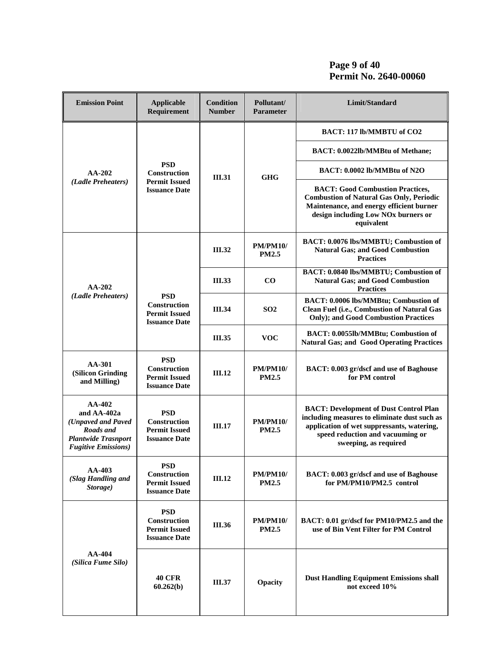## **Page 9 of 40 Permit No. 2640-00060**

| <b>Emission Point</b>                                                                                                   | Applicable<br>Requirement                                                         | <b>Condition</b><br><b>Number</b> | Pollutant/<br><b>Parameter</b>  | Limit/Standard                                                                                                                                                                                           |
|-------------------------------------------------------------------------------------------------------------------------|-----------------------------------------------------------------------------------|-----------------------------------|---------------------------------|----------------------------------------------------------------------------------------------------------------------------------------------------------------------------------------------------------|
|                                                                                                                         |                                                                                   |                                   |                                 | <b>BACT: 117 lb/MMBTU of CO2</b>                                                                                                                                                                         |
|                                                                                                                         |                                                                                   |                                   |                                 | BACT: 0.0022lb/MMBtu of Methane;                                                                                                                                                                         |
| $AA-202$                                                                                                                | <b>PSD</b><br><b>Construction</b>                                                 | <b>III.31</b>                     | <b>GHG</b>                      | BACT: 0.0002 lb/MMBtu of N2O                                                                                                                                                                             |
| (Ladle Preheaters)                                                                                                      | <b>Permit Issued</b><br><b>Issuance Date</b>                                      |                                   |                                 | <b>BACT: Good Combustion Practices,</b><br><b>Combustion of Natural Gas Only, Periodic</b><br>Maintenance, and energy efficient burner<br>design including Low NOx burners or<br>equivalent              |
|                                                                                                                         |                                                                                   | <b>III.32</b>                     | <b>PM/PM10/</b><br><b>PM2.5</b> | BACT: 0.0076 lbs/MMBTU; Combustion of<br><b>Natural Gas; and Good Combustion</b><br><b>Practices</b>                                                                                                     |
| $AA-202$                                                                                                                |                                                                                   | <b>III.33</b>                     | $\bf CO$                        | BACT: 0.0840 lbs/MMBTU; Combustion of<br><b>Natural Gas; and Good Combustion</b><br><b>Practices</b>                                                                                                     |
| (Ladle Preheaters)                                                                                                      | <b>PSD</b><br><b>Construction</b><br><b>Permit Issued</b><br><b>Issuance Date</b> | <b>III.34</b>                     | SO <sub>2</sub>                 | BACT: 0.0006 lbs/MMBtu; Combustion of<br><b>Clean Fuel (i.e., Combustion of Natural Gas</b><br><b>Only); and Good Combustion Practices</b>                                                               |
|                                                                                                                         |                                                                                   | <b>III.35</b>                     | <b>VOC</b>                      | BACT: 0.0055lb/MMBtu; Combustion of<br><b>Natural Gas; and Good Operating Practices</b>                                                                                                                  |
| AA-301<br>(Silicon Grinding<br>and Milling)                                                                             | <b>PSD</b><br><b>Construction</b><br><b>Permit Issued</b><br><b>Issuance Date</b> | <b>III.12</b>                     | <b>PM/PM10/</b><br><b>PM2.5</b> | BACT: 0.003 gr/dscf and use of Baghouse<br>for PM control                                                                                                                                                |
| $AA-402$<br>and AA-402a<br>(Unpaved and Paved<br>Roads and<br><b>Plantwide Trasnport</b><br><b>Fugitive Emissions</b> ) | <b>PSD</b><br><b>Construction</b><br><b>Permit Issued</b><br><b>Issuance Date</b> | <b>III.17</b>                     | <b>PM/PM10/</b><br><b>PM2.5</b> | <b>BACT: Development of Dust Control Plan</b><br>including measures to eliminate dust such as<br>application of wet suppressants, watering,<br>speed reduction and vacuuming or<br>sweeping, as required |
| AA-403<br>(Slag Handling and<br>Storage)                                                                                | <b>PSD</b><br>Construction<br><b>Permit Issued</b><br><b>Issuance Date</b>        | <b>III.12</b>                     | <b>PM/PM10/</b><br><b>PM2.5</b> | BACT: 0.003 gr/dscf and use of Baghouse<br>for PM/PM10/PM2.5 control                                                                                                                                     |
|                                                                                                                         | <b>PSD</b><br>Construction<br><b>Permit Issued</b><br><b>Issuance Date</b>        | <b>III.36</b>                     | <b>PM/PM10/</b><br><b>PM2.5</b> | BACT: 0.01 gr/dscf for PM10/PM2.5 and the<br>use of Bin Vent Filter for PM Control                                                                                                                       |
| AA-404<br>(Silica Fume Silo)                                                                                            | <b>40 CFR</b><br>60.262(b)                                                        | <b>III.37</b>                     | Opacity                         | <b>Dust Handling Equipment Emissions shall</b><br>not exceed 10%                                                                                                                                         |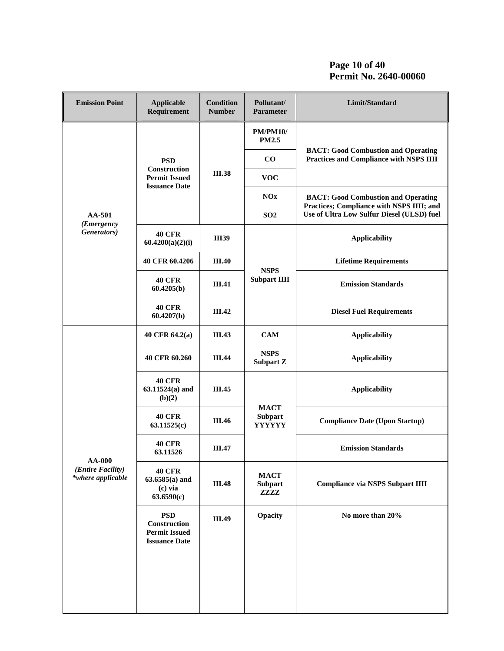## **Page 10 of 40 Permit No. 2640-00060**

| <b>Emission Point</b>                  | <b>Applicable</b><br>Requirement                                           | <b>Condition</b><br><b>Number</b> | Pollutant/<br>Parameter                        | Limit/Standard                                                                                                                        |
|----------------------------------------|----------------------------------------------------------------------------|-----------------------------------|------------------------------------------------|---------------------------------------------------------------------------------------------------------------------------------------|
|                                        | <b>PSD</b>                                                                 |                                   | <b>PM/PM10/</b><br><b>PM2.5</b>                |                                                                                                                                       |
|                                        |                                                                            |                                   | $\bf CO$                                       | <b>BACT: Good Combustion and Operating</b><br>Practices and Compliance with NSPS IIII                                                 |
|                                        | Construction<br><b>Permit Issued</b><br><b>Issuance Date</b>               | <b>III.38</b>                     | <b>VOC</b>                                     |                                                                                                                                       |
|                                        |                                                                            |                                   | NOx                                            | <b>BACT: Good Combustion and Operating</b><br>Practices; Compliance with NSPS IIII; and<br>Use of Ultra Low Sulfur Diesel (ULSD) fuel |
| <b>AA-501</b><br>(Emergency            |                                                                            |                                   | SO <sub>2</sub>                                |                                                                                                                                       |
| Generators)                            | <b>40 CFR</b><br>60.4200(a)(2)(i)                                          | <b>III39</b>                      |                                                | <b>Applicability</b>                                                                                                                  |
|                                        | 40 CFR 60.4206                                                             | <b>III.40</b>                     |                                                | <b>Lifetime Requirements</b>                                                                                                          |
|                                        | <b>40 CFR</b><br>60.4205(b)                                                | <b>III.41</b>                     | <b>NSPS</b><br><b>Subpart IIII</b>             | <b>Emission Standards</b>                                                                                                             |
|                                        | <b>40 CFR</b><br>60.4207(b)                                                | <b>III.42</b>                     |                                                | <b>Diesel Fuel Requirements</b>                                                                                                       |
|                                        | 40 CFR 64.2(a)                                                             | <b>III.43</b>                     | <b>CAM</b>                                     | <b>Applicability</b>                                                                                                                  |
|                                        | 40 CFR 60.260                                                              | <b>III.44</b>                     | <b>NSPS</b><br><b>Subpart Z</b>                | <b>Applicability</b>                                                                                                                  |
|                                        | <b>40 CFR</b><br>$63.11524(a)$ and<br>(b)(2)                               | <b>III.45</b>                     | <b>MACT</b><br><b>Subpart</b><br><b>YYYYYY</b> | <b>Applicability</b>                                                                                                                  |
|                                        | <b>40 CFR</b><br>63.11525(c)                                               | <b>III.46</b>                     |                                                | <b>Compliance Date (Upon Startup)</b>                                                                                                 |
| AA-000                                 | <b>40 CFR</b><br>63.11526                                                  | <b>III.47</b>                     |                                                | <b>Emission Standards</b>                                                                                                             |
| (Entire Facility)<br>*where applicable | <b>40 CFR</b><br>$63.6585(a)$ and<br>$(c)$ via<br>63.6590(c)               | <b>III.48</b>                     | <b>MACT</b><br><b>Subpart</b><br><b>ZZZZ</b>   | <b>Compliance via NSPS Subpart IIII</b>                                                                                               |
|                                        | <b>PSD</b><br>Construction<br><b>Permit Issued</b><br><b>Issuance Date</b> | <b>III.49</b>                     | Opacity                                        | No more than 20%                                                                                                                      |
|                                        |                                                                            |                                   |                                                |                                                                                                                                       |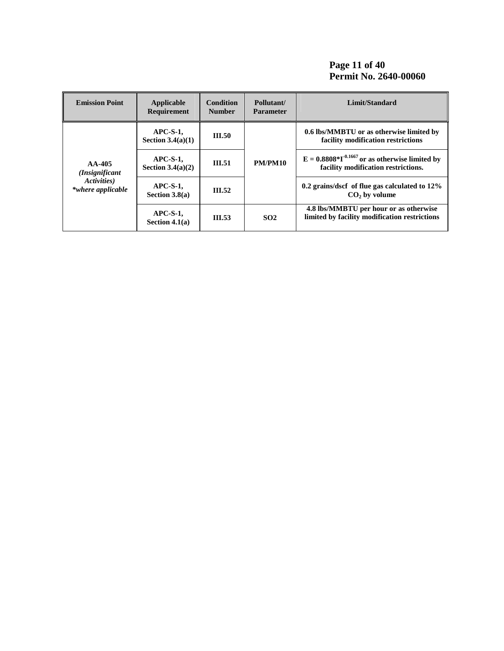## **Page 11 of 40 Permit No. 2640-00060**

| <b>Emission Point</b>                                          | Applicable<br><b>Requirement</b>   | <b>Condition</b><br><b>Number</b> | Pollutant/<br><b>Parameter</b> | Limit/Standard                                                                                   |
|----------------------------------------------------------------|------------------------------------|-----------------------------------|--------------------------------|--------------------------------------------------------------------------------------------------|
| $AA-405$<br>(Insignificant<br>Activities)<br>*where applicable | $APC-S-1$<br>Section $3.4(a)(1)$   | <b>III.50</b>                     | PM/PM10                        | 0.6 lbs/MMBTU or as otherwise limited by<br>facility modification restrictions                   |
|                                                                | $APC-S-1$ ,<br>Section $3.4(a)(2)$ | <b>III.51</b>                     |                                | $E = 0.8808 * \Gamma^{0.1667}$ or as otherwise limited by<br>facility modification restrictions. |
|                                                                | $APC-S-1$ ,<br>Section $3.8(a)$    | <b>III.52</b>                     |                                | 0.2 grains/dscf of flue gas calculated to $12\%$<br>$CO2$ by volume                              |
|                                                                | $APC-S-1$ ,<br>Section $4.1(a)$    | <b>III.53</b>                     | SO <sub>2</sub>                | 4.8 lbs/MMBTU per hour or as otherwise<br>limited by facility modification restrictions          |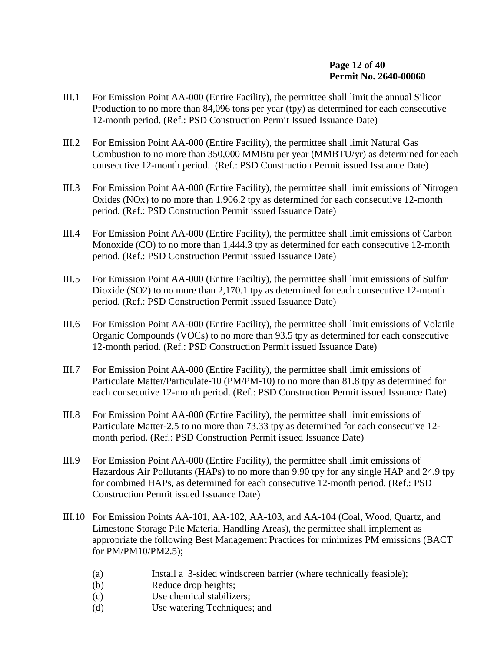## **Page 12 of 40 Permit No. 2640-00060**

- III.1 For Emission Point AA-000 (Entire Facility), the permittee shall limit the annual Silicon Production to no more than 84,096 tons per year (tpy) as determined for each consecutive 12-month period. (Ref.: PSD Construction Permit Issued Issuance Date)
- III.2 For Emission Point AA-000 (Entire Facility), the permittee shall limit Natural Gas Combustion to no more than 350,000 MMBtu per year (MMBTU/yr) as determined for each consecutive 12-month period. (Ref.: PSD Construction Permit issued Issuance Date)
- III.3 For Emission Point AA-000 (Entire Facility), the permittee shall limit emissions of Nitrogen Oxides (NOx) to no more than 1,906.2 tpy as determined for each consecutive 12-month period. (Ref.: PSD Construction Permit issued Issuance Date)
- III.4 For Emission Point AA-000 (Entire Facility), the permittee shall limit emissions of Carbon Monoxide (CO) to no more than 1,444.3 tpy as determined for each consecutive 12-month period. (Ref.: PSD Construction Permit issued Issuance Date)
- III.5 For Emission Point AA-000 (Entire Faciltiy), the permittee shall limit emissions of Sulfur Dioxide (SO2) to no more than 2,170.1 tpy as determined for each consecutive 12-month period. (Ref.: PSD Construction Permit issued Issuance Date)
- III.6 For Emission Point AA-000 (Entire Facility), the permittee shall limit emissions of Volatile Organic Compounds (VOCs) to no more than 93.5 tpy as determined for each consecutive 12-month period. (Ref.: PSD Construction Permit issued Issuance Date)
- III.7 For Emission Point AA-000 (Entire Facility), the permittee shall limit emissions of Particulate Matter/Particulate-10 (PM/PM-10) to no more than 81.8 tpy as determined for each consecutive 12-month period. (Ref.: PSD Construction Permit issued Issuance Date)
- III.8 For Emission Point AA-000 (Entire Facility), the permittee shall limit emissions of Particulate Matter-2.5 to no more than 73.33 tpy as determined for each consecutive 12 month period. (Ref.: PSD Construction Permit issued Issuance Date)
- III.9 For Emission Point AA-000 (Entire Facility), the permittee shall limit emissions of Hazardous Air Pollutants (HAPs) to no more than 9.90 tpy for any single HAP and 24.9 tpy for combined HAPs, as determined for each consecutive 12-month period. (Ref.: PSD Construction Permit issued Issuance Date)
- III.10 For Emission Points AA-101, AA-102, AA-103, and AA-104 (Coal, Wood, Quartz, and Limestone Storage Pile Material Handling Areas), the permittee shall implement as appropriate the following Best Management Practices for minimizes PM emissions (BACT for PM/PM10/PM2.5);
	- (a) Install a 3-sided windscreen barrier (where technically feasible);
	- (b) Reduce drop heights;
	- (c) Use chemical stabilizers;
	- (d) Use watering Techniques; and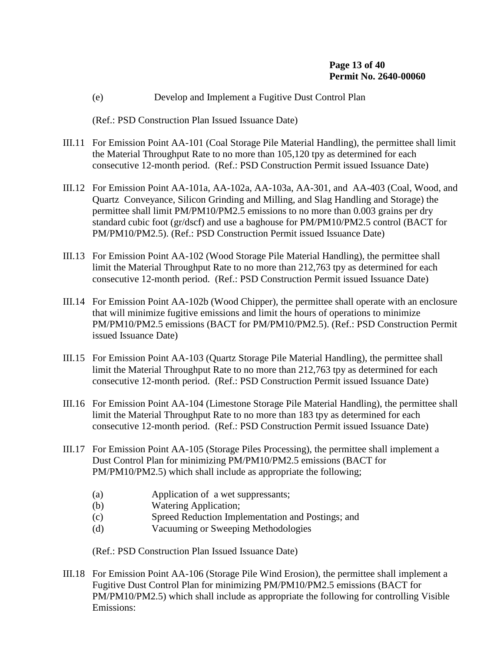## **Page 13 of 40 Permit No. 2640-00060**

(e) Develop and Implement a Fugitive Dust Control Plan

(Ref.: PSD Construction Plan Issued Issuance Date)

- III.11 For Emission Point AA-101 (Coal Storage Pile Material Handling), the permittee shall limit the Material Throughput Rate to no more than 105,120 tpy as determined for each consecutive 12-month period. (Ref.: PSD Construction Permit issued Issuance Date)
- III.12 For Emission Point AA-101a, AA-102a, AA-103a, AA-301, and AA-403 (Coal, Wood, and Quartz Conveyance, Silicon Grinding and Milling, and Slag Handling and Storage) the permittee shall limit PM/PM10/PM2.5 emissions to no more than 0.003 grains per dry standard cubic foot (gr/dscf) and use a baghouse for PM/PM10/PM2.5 control (BACT for PM/PM10/PM2.5). (Ref.: PSD Construction Permit issued Issuance Date)
- III.13 For Emission Point AA-102 (Wood Storage Pile Material Handling), the permittee shall limit the Material Throughput Rate to no more than 212,763 tpy as determined for each consecutive 12-month period. (Ref.: PSD Construction Permit issued Issuance Date)
- III.14 For Emission Point AA-102b (Wood Chipper), the permittee shall operate with an enclosure that will minimize fugitive emissions and limit the hours of operations to minimize PM/PM10/PM2.5 emissions (BACT for PM/PM10/PM2.5). (Ref.: PSD Construction Permit issued Issuance Date)
- III.15 For Emission Point AA-103 (Quartz Storage Pile Material Handling), the permittee shall limit the Material Throughput Rate to no more than 212,763 tpy as determined for each consecutive 12-month period. (Ref.: PSD Construction Permit issued Issuance Date)
- III.16 For Emission Point AA-104 (Limestone Storage Pile Material Handling), the permittee shall limit the Material Throughput Rate to no more than 183 tpy as determined for each consecutive 12-month period. (Ref.: PSD Construction Permit issued Issuance Date)
- III.17 For Emission Point AA-105 (Storage Piles Processing), the permittee shall implement a Dust Control Plan for minimizing PM/PM10/PM2.5 emissions (BACT for PM/PM10/PM2.5) which shall include as appropriate the following;
	- (a) Application of a wet suppressants;
	- (b) Watering Application;
	- (c) Spreed Reduction Implementation and Postings; and
	- (d) Vacuuming or Sweeping Methodologies

(Ref.: PSD Construction Plan Issued Issuance Date)

III.18 For Emission Point AA-106 (Storage Pile Wind Erosion), the permittee shall implement a Fugitive Dust Control Plan for minimizing PM/PM10/PM2.5 emissions (BACT for PM/PM10/PM2.5) which shall include as appropriate the following for controlling Visible Emissions: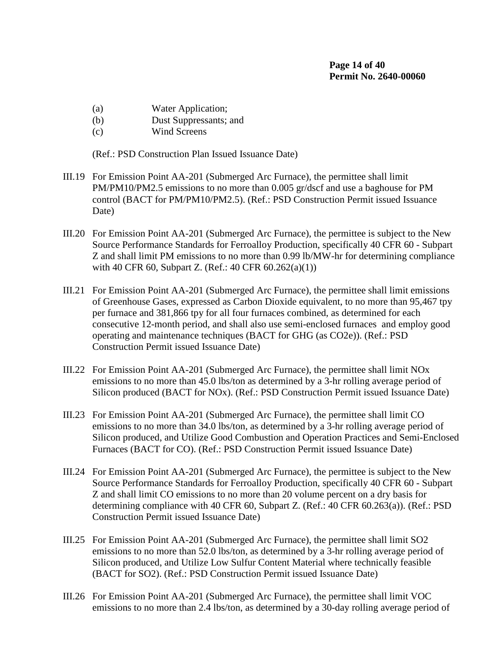## **Page 14 of 40 Permit No. 2640-00060**

- (a) Water Application;
- (b) Dust Suppressants; and
- (c) Wind Screens

(Ref.: PSD Construction Plan Issued Issuance Date)

- III.19 For Emission Point AA-201 (Submerged Arc Furnace), the permittee shall limit PM/PM10/PM2.5 emissions to no more than 0.005 gr/dscf and use a baghouse for PM control (BACT for PM/PM10/PM2.5). (Ref.: PSD Construction Permit issued Issuance Date)
- III.20 For Emission Point AA-201 (Submerged Arc Furnace), the permittee is subject to the New Source Performance Standards for Ferroalloy Production, specifically 40 CFR 60 - Subpart Z and shall limit PM emissions to no more than 0.99 lb/MW-hr for determining compliance with 40 CFR 60, Subpart Z. (Ref.: 40 CFR 60.262(a)(1))
- III.21 For Emission Point AA-201 (Submerged Arc Furnace), the permittee shall limit emissions of Greenhouse Gases, expressed as Carbon Dioxide equivalent, to no more than 95,467 tpy per furnace and 381,866 tpy for all four furnaces combined, as determined for each consecutive 12-month period, and shall also use semi-enclosed furnaces and employ good operating and maintenance techniques (BACT for GHG (as CO2e)). (Ref.: PSD Construction Permit issued Issuance Date)
- III.22 For Emission Point AA-201 (Submerged Arc Furnace), the permittee shall limit NOx emissions to no more than 45.0 lbs/ton as determined by a 3-hr rolling average period of Silicon produced (BACT for NOx). (Ref.: PSD Construction Permit issued Issuance Date)
- III.23 For Emission Point AA-201 (Submerged Arc Furnace), the permittee shall limit CO emissions to no more than 34.0 lbs/ton, as determined by a 3-hr rolling average period of Silicon produced, and Utilize Good Combustion and Operation Practices and Semi-Enclosed Furnaces (BACT for CO). (Ref.: PSD Construction Permit issued Issuance Date)
- III.24 For Emission Point AA-201 (Submerged Arc Furnace), the permittee is subject to the New Source Performance Standards for Ferroalloy Production, specifically 40 CFR 60 - Subpart Z and shall limit CO emissions to no more than 20 volume percent on a dry basis for determining compliance with 40 CFR 60, Subpart Z. (Ref.: 40 CFR 60.263(a)). (Ref.: PSD Construction Permit issued Issuance Date)
- III.25 For Emission Point AA-201 (Submerged Arc Furnace), the permittee shall limit SO2 emissions to no more than 52.0 lbs/ton, as determined by a 3-hr rolling average period of Silicon produced, and Utilize Low Sulfur Content Material where technically feasible (BACT for SO2). (Ref.: PSD Construction Permit issued Issuance Date)
- III.26 For Emission Point AA-201 (Submerged Arc Furnace), the permittee shall limit VOC emissions to no more than 2.4 lbs/ton, as determined by a 30-day rolling average period of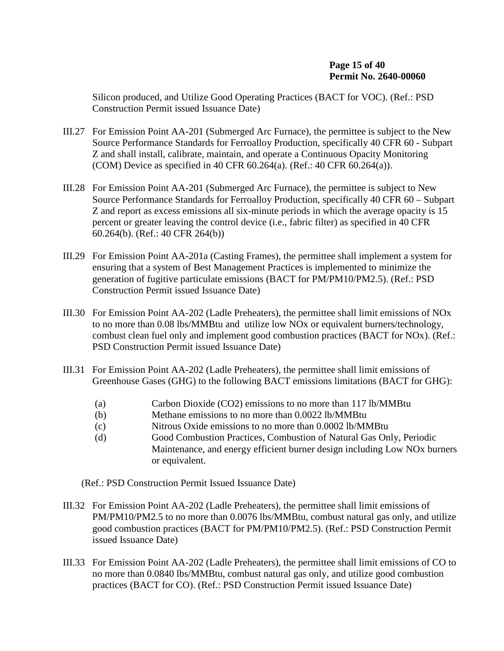## **Page 15 of 40 Permit No. 2640-00060**

Silicon produced, and Utilize Good Operating Practices (BACT for VOC). (Ref.: PSD Construction Permit issued Issuance Date)

- III.27 For Emission Point AA-201 (Submerged Arc Furnace), the permittee is subject to the New Source Performance Standards for Ferroalloy Production, specifically 40 CFR 60 - Subpart Z and shall install, calibrate, maintain, and operate a Continuous Opacity Monitoring (COM) Device as specified in 40 CFR 60.264(a). (Ref.: 40 CFR 60.264(a)).
- III.28 For Emission Point AA-201 (Submerged Arc Furnace), the permittee is subject to New Source Performance Standards for Ferroalloy Production, specifically 40 CFR 60 – Subpart Z and report as excess emissions all six-minute periods in which the average opacity is 15 percent or greater leaving the control device (i.e., fabric filter) as specified in 40 CFR 60.264(b). (Ref.: 40 CFR 264(b))
- III.29 For Emission Point AA-201a (Casting Frames), the permittee shall implement a system for ensuring that a system of Best Management Practices is implemented to minimize the generation of fugitive particulate emissions (BACT for PM/PM10/PM2.5). (Ref.: PSD Construction Permit issued Issuance Date)
- III.30 For Emission Point AA-202 (Ladle Preheaters), the permittee shall limit emissions of NOx to no more than 0.08 lbs/MMBtu and utilize low NOx or equivalent burners/technology, combust clean fuel only and implement good combustion practices (BACT for NOx). (Ref.: PSD Construction Permit issued Issuance Date)
- III.31 For Emission Point AA-202 (Ladle Preheaters), the permittee shall limit emissions of Greenhouse Gases (GHG) to the following BACT emissions limitations (BACT for GHG):
	- (a) Carbon Dioxide (CO2) emissions to no more than 117 lb/MMBtu
	- (b) Methane emissions to no more than 0.0022 lb/MMBtu
	- (c) Nitrous Oxide emissions to no more than 0.0002 lb/MMBtu
	- (d) Good Combustion Practices, Combustion of Natural Gas Only, Periodic Maintenance, and energy efficient burner design including Low NOx burners or equivalent.

(Ref.: PSD Construction Permit Issued Issuance Date)

- III.32 For Emission Point AA-202 (Ladle Preheaters), the permittee shall limit emissions of PM/PM10/PM2.5 to no more than 0.0076 lbs/MMBtu, combust natural gas only, and utilize good combustion practices (BACT for PM/PM10/PM2.5). (Ref.: PSD Construction Permit issued Issuance Date)
- III.33 For Emission Point AA-202 (Ladle Preheaters), the permittee shall limit emissions of CO to no more than 0.0840 lbs/MMBtu, combust natural gas only, and utilize good combustion practices (BACT for CO). (Ref.: PSD Construction Permit issued Issuance Date)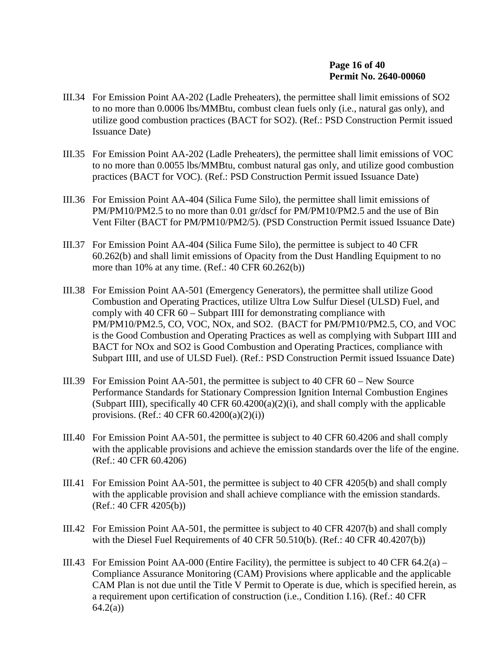## **Page 16 of 40 Permit No. 2640-00060**

- III.34 For Emission Point AA-202 (Ladle Preheaters), the permittee shall limit emissions of SO2 to no more than 0.0006 lbs/MMBtu, combust clean fuels only (i.e., natural gas only), and utilize good combustion practices (BACT for SO2). (Ref.: PSD Construction Permit issued Issuance Date)
- III.35 For Emission Point AA-202 (Ladle Preheaters), the permittee shall limit emissions of VOC to no more than 0.0055 lbs/MMBtu, combust natural gas only, and utilize good combustion practices (BACT for VOC). (Ref.: PSD Construction Permit issued Issuance Date)
- III.36 For Emission Point AA-404 (Silica Fume Silo), the permittee shall limit emissions of PM/PM10/PM2.5 to no more than 0.01 gr/dscf for PM/PM10/PM2.5 and the use of Bin Vent Filter (BACT for PM/PM10/PM2/5). (PSD Construction Permit issued Issuance Date)
- III.37 For Emission Point AA-404 (Silica Fume Silo), the permittee is subject to 40 CFR 60.262(b) and shall limit emissions of Opacity from the Dust Handling Equipment to no more than 10% at any time. (Ref.: 40 CFR 60.262(b))
- III.38 For Emission Point AA-501 (Emergency Generators), the permittee shall utilize Good Combustion and Operating Practices, utilize Ultra Low Sulfur Diesel (ULSD) Fuel, and comply with 40 CFR 60 – Subpart IIII for demonstrating compliance with PM/PM10/PM2.5, CO, VOC, NOx, and SO2. (BACT for PM/PM10/PM2.5, CO, and VOC is the Good Combustion and Operating Practices as well as complying with Subpart IIII and BACT for NOx and SO2 is Good Combustion and Operating Practices, compliance with Subpart IIII, and use of ULSD Fuel). (Ref.: PSD Construction Permit issued Issuance Date)
- III.39 For Emission Point AA-501, the permittee is subject to 40 CFR 60 New Source Performance Standards for Stationary Compression Ignition Internal Combustion Engines (Subpart IIII), specifically 40 CFR  $60.4200(a)(2)(i)$ , and shall comply with the applicable provisions. (Ref.: 40 CFR 60.4200(a)(2)(i))
- III.40 For Emission Point AA-501, the permittee is subject to 40 CFR 60.4206 and shall comply with the applicable provisions and achieve the emission standards over the life of the engine. (Ref.: 40 CFR 60.4206)
- III.41 For Emission Point AA-501, the permittee is subject to 40 CFR 4205(b) and shall comply with the applicable provision and shall achieve compliance with the emission standards. (Ref.: 40 CFR 4205(b))
- III.42 For Emission Point AA-501, the permittee is subject to 40 CFR 4207(b) and shall comply with the Diesel Fuel Requirements of 40 CFR 50.510(b). (Ref.: 40 CFR 40.4207(b))
- III.43 For Emission Point AA-000 (Entire Facility), the permittee is subject to 40 CFR  $64.2(a)$  Compliance Assurance Monitoring (CAM) Provisions where applicable and the applicable CAM Plan is not due until the Title V Permit to Operate is due, which is specified herein, as a requirement upon certification of construction (i.e., Condition I.16). (Ref.: 40 CFR 64.2(a))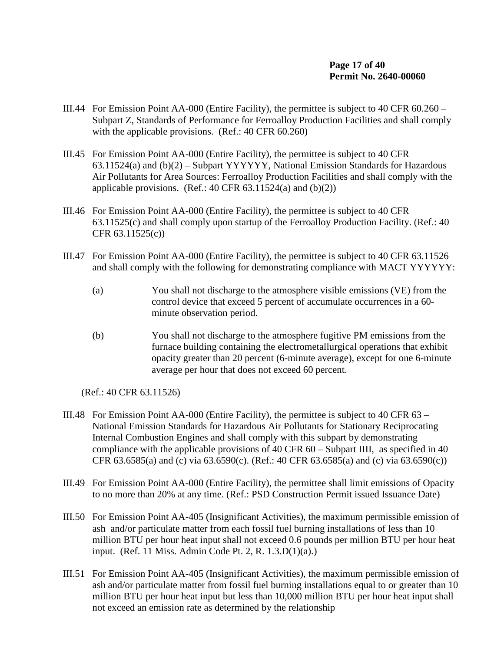#### **Page 17 of 40 Permit No. 2640-00060**

- III.44 For Emission Point AA-000 (Entire Facility), the permittee is subject to 40 CFR 60.260 Subpart Z, Standards of Performance for Ferroalloy Production Facilities and shall comply with the applicable provisions. (Ref.: 40 CFR 60.260)
- III.45 For Emission Point AA-000 (Entire Facility), the permittee is subject to 40 CFR 63.11524(a) and (b)(2) – Subpart YYYYYY, National Emission Standards for Hazardous Air Pollutants for Area Sources: Ferroalloy Production Facilities and shall comply with the applicable provisions. (Ref.: 40 CFR 63.11524(a) and (b)(2))
- III.46 For Emission Point AA-000 (Entire Facility), the permittee is subject to 40 CFR 63.11525(c) and shall comply upon startup of the Ferroalloy Production Facility. (Ref.: 40 CFR 63.11525(c))
- III.47 For Emission Point AA-000 (Entire Facility), the permittee is subject to 40 CFR 63.11526 and shall comply with the following for demonstrating compliance with MACT YYYYYY:
	- (a) You shall not discharge to the atmosphere visible emissions (VE) from the control device that exceed 5 percent of accumulate occurrences in a 60 minute observation period.
	- (b) You shall not discharge to the atmosphere fugitive PM emissions from the furnace building containing the electrometallurgical operations that exhibit opacity greater than 20 percent (6-minute average), except for one 6-minute average per hour that does not exceed 60 percent.

(Ref.: 40 CFR 63.11526)

- III.48 For Emission Point AA-000 (Entire Facility), the permittee is subject to 40 CFR 63 National Emission Standards for Hazardous Air Pollutants for Stationary Reciprocating Internal Combustion Engines and shall comply with this subpart by demonstrating compliance with the applicable provisions of 40 CFR 60 – Subpart IIII, as specified in 40 CFR 63.6585(a) and (c) via 63.6590(c). (Ref.: 40 CFR 63.6585(a) and (c) via 63.6590(c))
- III.49 For Emission Point AA-000 (Entire Facility), the permittee shall limit emissions of Opacity to no more than 20% at any time. (Ref.: PSD Construction Permit issued Issuance Date)
- III.50 For Emission Point AA-405 (Insignificant Activities), the maximum permissible emission of ash and/or particulate matter from each fossil fuel burning installations of less than 10 million BTU per hour heat input shall not exceed 0.6 pounds per million BTU per hour heat input. (Ref. 11 Miss. Admin Code Pt. 2, R. 1.3.D(1)(a).)
- III.51 For Emission Point AA-405 (Insignificant Activities), the maximum permissible emission of ash and/or particulate matter from fossil fuel burning installations equal to or greater than 10 million BTU per hour heat input but less than 10,000 million BTU per hour heat input shall not exceed an emission rate as determined by the relationship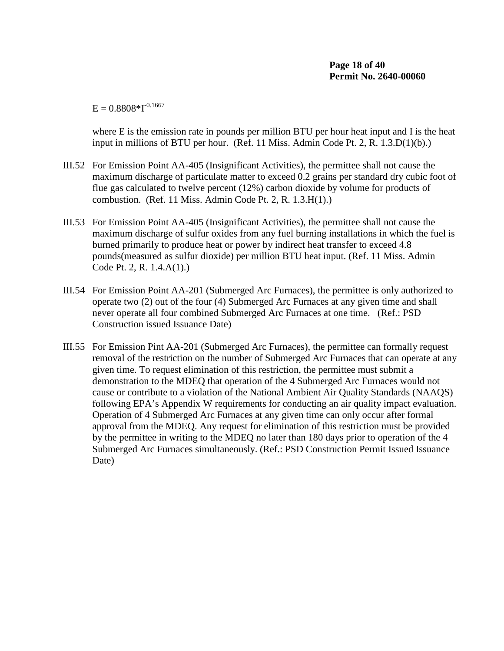## **Page 18 of 40 Permit No. 2640-00060**

 $E = 0.8808 * I^{-0.1667}$ 

 where E is the emission rate in pounds per million BTU per hour heat input and I is the heat input in millions of BTU per hour. (Ref. 11 Miss. Admin Code Pt. 2, R. 1.3.D(1)(b).)

- III.52 For Emission Point AA-405 (Insignificant Activities), the permittee shall not cause the maximum discharge of particulate matter to exceed 0.2 grains per standard dry cubic foot of flue gas calculated to twelve percent (12%) carbon dioxide by volume for products of combustion. (Ref. 11 Miss. Admin Code Pt. 2, R. 1.3.H(1).)
- III.53 For Emission Point AA-405 (Insignificant Activities), the permittee shall not cause the maximum discharge of sulfur oxides from any fuel burning installations in which the fuel is burned primarily to produce heat or power by indirect heat transfer to exceed 4.8 pounds(measured as sulfur dioxide) per million BTU heat input. (Ref. 11 Miss. Admin Code Pt. 2, R. 1.4.A(1).)
- III.54 For Emission Point AA-201 (Submerged Arc Furnaces), the permittee is only authorized to operate two (2) out of the four (4) Submerged Arc Furnaces at any given time and shall never operate all four combined Submerged Arc Furnaces at one time. (Ref.: PSD Construction issued Issuance Date)
- III.55 For Emission Pint AA-201 (Submerged Arc Furnaces), the permittee can formally request removal of the restriction on the number of Submerged Arc Furnaces that can operate at any given time. To request elimination of this restriction, the permittee must submit a demonstration to the MDEQ that operation of the 4 Submerged Arc Furnaces would not cause or contribute to a violation of the National Ambient Air Quality Standards (NAAQS) following EPA's Appendix W requirements for conducting an air quality impact evaluation. Operation of 4 Submerged Arc Furnaces at any given time can only occur after formal approval from the MDEQ. Any request for elimination of this restriction must be provided by the permittee in writing to the MDEQ no later than 180 days prior to operation of the 4 Submerged Arc Furnaces simultaneously. (Ref.: PSD Construction Permit Issued Issuance Date)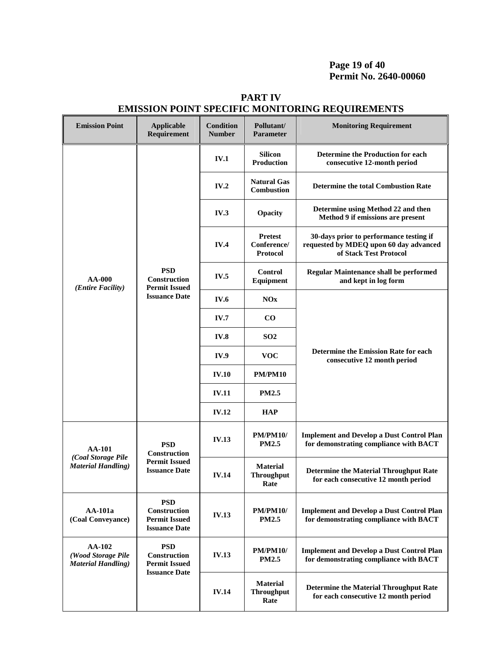#### **Page 19 of 40 Permit No. 2640-00060**

| <b>Emission Point</b>                                     | <b>Applicable</b><br>Requirement                                           | <b>Condition</b><br><b>Number</b> | Pollutant/<br><b>Parameter</b>               | <b>Monitoring Requirement</b>                                                                               |
|-----------------------------------------------------------|----------------------------------------------------------------------------|-----------------------------------|----------------------------------------------|-------------------------------------------------------------------------------------------------------------|
|                                                           |                                                                            | <b>IV.1</b>                       | <b>Silicon</b><br><b>Production</b>          | <b>Determine the Production for each</b><br>consecutive 12-month period                                     |
|                                                           |                                                                            | IV.2                              | <b>Natural Gas</b><br><b>Combustion</b>      | <b>Determine the total Combustion Rate</b>                                                                  |
|                                                           |                                                                            | IV.3                              | Opacity                                      | Determine using Method 22 and then<br>Method 9 if emissions are present                                     |
|                                                           |                                                                            | IV.4                              | <b>Pretest</b><br>Conference/<br>Protocol    | 30-days prior to performance testing if<br>requested by MDEQ upon 60 day advanced<br>of Stack Test Protocol |
| <b>AA-000</b><br>(Entire Facility)                        | <b>PSD</b><br>Construction<br><b>Permit Issued</b>                         | IV.5                              | <b>Control</b><br>Equipment                  | <b>Regular Maintenance shall be performed</b><br>and kept in log form                                       |
|                                                           | <b>Issuance Date</b>                                                       | <b>IV.6</b>                       | NOx                                          |                                                                                                             |
|                                                           |                                                                            | <b>IV.7</b>                       | $\bf CO$                                     |                                                                                                             |
|                                                           |                                                                            | <b>IV.8</b>                       | SO <sub>2</sub>                              |                                                                                                             |
|                                                           |                                                                            | <b>IV.9</b>                       | <b>VOC</b>                                   | <b>Determine the Emission Rate for each</b><br>consecutive 12 month period                                  |
|                                                           |                                                                            | <b>IV.10</b>                      | PM/PM10                                      |                                                                                                             |
|                                                           |                                                                            | <b>IV.11</b>                      | <b>PM2.5</b>                                 |                                                                                                             |
|                                                           |                                                                            | <b>IV.12</b>                      | <b>HAP</b>                                   |                                                                                                             |
| <b>AA-101</b>                                             | <b>PSD</b><br>Construction                                                 | <b>IV.13</b>                      | <b>PM/PM10/</b><br><b>PM2.5</b>              | <b>Implement and Develop a Dust Control Plan</b><br>for demonstrating compliance with BACT                  |
| (Coal Storage Pile<br><b>Material Handling</b> )          | <b>Permit Issued</b><br><b>Issuance Date</b>                               | <b>IV.14</b>                      | Material<br><b>Throughput</b><br>Rate        | <b>Determine the Material Throughput Rate</b><br>for each consecutive 12 month period                       |
| <b>AA-101a</b><br>(Coal Conveyance)                       | <b>PSD</b><br>Construction<br><b>Permit Issued</b><br><b>Issuance Date</b> | <b>IV.13</b>                      | <b>PM/PM10/</b><br><b>PM2.5</b>              | <b>Implement and Develop a Dust Control Plan</b><br>for demonstrating compliance with BACT                  |
| AA-102<br>(Wood Storage Pile<br><b>Material Handling)</b> | <b>PSD</b><br>Construction<br><b>Permit Issued</b><br><b>Issuance Date</b> | <b>IV.13</b>                      | <b>PM/PM10/</b><br><b>PM2.5</b>              | <b>Implement and Develop a Dust Control Plan</b><br>for demonstrating compliance with BACT                  |
|                                                           |                                                                            | <b>IV.14</b>                      | <b>Material</b><br><b>Throughput</b><br>Rate | <b>Determine the Material Throughput Rate</b><br>for each consecutive 12 month period                       |

## **PART IV EMISSION POINT SPECIFIC MONITORING REQUIREMENTS**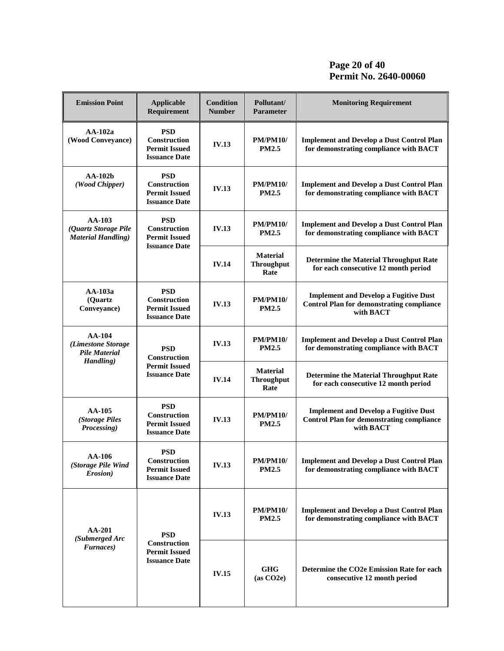## **Page 20 of 40 Permit No. 2640-00060**

| <b>Emission Point</b>                                              | <b>Applicable</b><br>Requirement                                                  | <b>Condition</b><br><b>Number</b> | Pollutant/<br><b>Parameter</b>               | <b>Monitoring Requirement</b>                                                                                 |
|--------------------------------------------------------------------|-----------------------------------------------------------------------------------|-----------------------------------|----------------------------------------------|---------------------------------------------------------------------------------------------------------------|
| AA-102a<br>(Wood Conveyance)                                       | <b>PSD</b><br>Construction<br><b>Permit Issued</b><br><b>Issuance Date</b>        | <b>IV.13</b>                      | <b>PM/PM10/</b><br><b>PM2.5</b>              | <b>Implement and Develop a Dust Control Plan</b><br>for demonstrating compliance with BACT                    |
| <b>AA-102b</b><br>(Wood Chipper)                                   | <b>PSD</b><br>Construction<br><b>Permit Issued</b><br><b>Issuance Date</b>        | <b>IV.13</b>                      | <b>PM/PM10/</b><br><b>PM2.5</b>              | <b>Implement and Develop a Dust Control Plan</b><br>for demonstrating compliance with BACT                    |
| <b>AA-103</b><br>(Quartz Storage Pile<br><b>Material Handling)</b> | <b>PSD</b><br><b>Construction</b><br><b>Permit Issued</b><br><b>Issuance Date</b> | <b>IV.13</b>                      | <b>PM/PM10/</b><br><b>PM2.5</b>              | <b>Implement and Develop a Dust Control Plan</b><br>for demonstrating compliance with BACT                    |
|                                                                    |                                                                                   | <b>IV.14</b>                      | <b>Material</b><br><b>Throughput</b><br>Rate | <b>Determine the Material Throughput Rate</b><br>for each consecutive 12 month period                         |
| AA-103a<br>(Quartz<br>Conveyance)                                  | <b>PSD</b><br>Construction<br><b>Permit Issued</b><br><b>Issuance Date</b>        | <b>IV.13</b>                      | <b>PM/PM10/</b><br><b>PM2.5</b>              | <b>Implement and Develop a Fugitive Dust</b><br><b>Control Plan for demonstrating compliance</b><br>with BACT |
| $AA-104$<br>(Limestone Storage<br><b>Pile Material</b>             | <b>PSD</b><br><b>Construction</b>                                                 | <b>IV.13</b>                      | <b>PM/PM10/</b><br><b>PM2.5</b>              | <b>Implement and Develop a Dust Control Plan</b><br>for demonstrating compliance with BACT                    |
| Handling)                                                          | <b>Permit Issued</b><br><b>Issuance Date</b>                                      | <b>IV.14</b>                      | <b>Material</b><br><b>Throughput</b><br>Rate | <b>Determine the Material Throughput Rate</b><br>for each consecutive 12 month period                         |
| $AA-105$<br>(Storage Piles<br>Processing)                          | <b>PSD</b><br><b>Construction</b><br><b>Permit Issued</b><br><b>Issuance Date</b> | <b>IV.13</b>                      | <b>PM/PM10/</b><br><b>PM2.5</b>              | <b>Implement and Develop a Fugitive Dust</b><br><b>Control Plan for demonstrating compliance</b><br>with BACT |
| $AA-106$<br>(Storage Pile Wind<br>Erosion)                         | <b>PSD</b><br>Construction<br><b>Permit Issued</b><br><b>Issuance Date</b>        | <b>IV.13</b>                      | <b>PM/PM10/</b><br><b>PM2.5</b>              | <b>Implement and Develop a Dust Control Plan</b><br>for demonstrating compliance with BACT                    |
| <b>AA-201</b>                                                      | <b>PSD</b>                                                                        | <b>IV.13</b>                      | <b>PM/PM10/</b><br><b>PM2.5</b>              | <b>Implement and Develop a Dust Control Plan</b><br>for demonstrating compliance with BACT                    |
| (Submerged Arc<br>Furnaces)                                        | <b>Construction</b><br><b>Permit Issued</b><br><b>Issuance Date</b>               | <b>IV.15</b>                      | <b>GHG</b><br>(as CO2e)                      | Determine the CO2e Emission Rate for each<br>consecutive 12 month period                                      |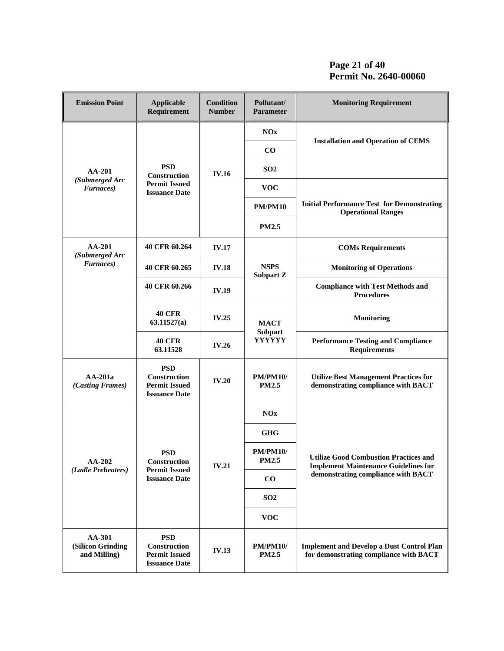## **Page 21 of 40 Permit No. 2640-00060**

| <b>Emission Point</b>                       | <b>Applicable</b><br>Requirement                                                  | <b>Condition</b><br><b>Number</b> | Pollutant/<br><b>Parameter</b>  | <b>Monitoring Requirement</b>                                                               |
|---------------------------------------------|-----------------------------------------------------------------------------------|-----------------------------------|---------------------------------|---------------------------------------------------------------------------------------------|
|                                             |                                                                                   |                                   | NOx                             |                                                                                             |
|                                             |                                                                                   |                                   | $\bf CO$                        | <b>Installation and Operation of CEMS</b>                                                   |
| $AA-201$                                    | <b>PSD</b><br>Construction                                                        | <b>IV.16</b>                      | SO <sub>2</sub>                 |                                                                                             |
| (Submerged Arc<br>Furnaces)                 | <b>Permit Issued</b><br><b>Issuance Date</b>                                      |                                   | <b>VOC</b>                      |                                                                                             |
|                                             |                                                                                   |                                   | PM/PM10                         | <b>Initial Performance Test for Demonstrating</b><br><b>Operational Ranges</b>              |
|                                             |                                                                                   |                                   | <b>PM2.5</b>                    |                                                                                             |
| $AA-201$<br>(Submerged Arc                  | 40 CFR 60.264                                                                     | <b>IV.17</b>                      |                                 | <b>COMs Requirements</b>                                                                    |
| Furnaces)                                   | 40 CFR 60.265                                                                     | <b>IV.18</b>                      | <b>NSPS</b><br><b>Subpart Z</b> | <b>Monitoring of Operations</b>                                                             |
|                                             | 40 CFR 60.266                                                                     | <b>IV.19</b>                      |                                 | <b>Compliance with Test Methods and</b><br><b>Procedures</b>                                |
|                                             | <b>40 CFR</b><br>63.11527(a)                                                      | IV.25                             | <b>MACT</b><br><b>Subpart</b>   | Monitoring                                                                                  |
|                                             | <b>40 CFR</b><br>63.11528                                                         | <b>IV.26</b>                      | <b>YYYYYY</b>                   | <b>Performance Testing and Compliance</b><br><b>Requirements</b>                            |
| $AA-201a$<br>(Casting Frames)               | <b>PSD</b><br><b>Construction</b><br><b>Permit Issued</b><br><b>Issuance Date</b> | IV.20                             | <b>PM/PM10/</b><br><b>PM2.5</b> | <b>Utilize Best Management Practices for</b><br>demonstrating compliance with BACT          |
|                                             |                                                                                   | IV.21                             | <b>NOx</b>                      |                                                                                             |
|                                             |                                                                                   |                                   | <b>GHG</b>                      |                                                                                             |
| AA-202                                      | <b>PSD</b><br>Construction<br><b>Permit Issued</b>                                |                                   | <b>PM/PM10/</b><br>PM2.5        | <b>Utilize Good Combustion Practices and</b><br><b>Implement Maintenance Guidelines for</b> |
| (Ladle Preheaters)                          | <b>Issuance Date</b>                                                              |                                   | $\bf CO$                        | demonstrating compliance with BACT                                                          |
|                                             |                                                                                   |                                   | SO <sub>2</sub>                 |                                                                                             |
|                                             |                                                                                   |                                   | <b>VOC</b>                      |                                                                                             |
| AA-301<br>(Silicon Grinding<br>and Milling) | <b>PSD</b><br>Construction<br><b>Permit Issued</b><br><b>Issuance Date</b>        | <b>IV.13</b>                      | <b>PM/PM10/</b><br>PM2.5        | <b>Implement and Develop a Dust Control Plan</b><br>for demonstrating compliance with BACT  |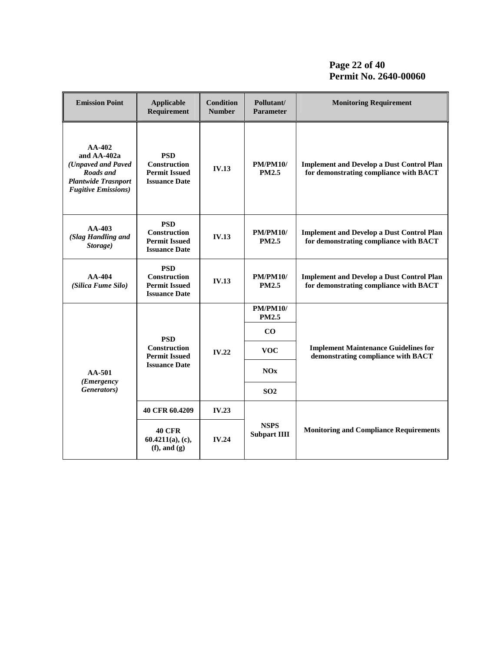## **Page 22 of 40 Permit No. 2640-00060**

| <b>Emission Point</b>                                                                                                   | <b>Applicable</b><br>Requirement                                                  | <b>Condition</b><br><b>Number</b> | Pollutant/<br><b>Parameter</b>     | <b>Monitoring Requirement</b>                                                              |
|-------------------------------------------------------------------------------------------------------------------------|-----------------------------------------------------------------------------------|-----------------------------------|------------------------------------|--------------------------------------------------------------------------------------------|
| $AA-402$<br>and AA-402a<br>(Unpaved and Paved<br>Roads and<br><b>Plantwide Trasnport</b><br><b>Fugitive Emissions</b> ) | <b>PSD</b><br>Construction<br><b>Permit Issued</b><br><b>Issuance Date</b>        | <b>IV.13</b>                      | <b>PM/PM10/</b><br><b>PM2.5</b>    | <b>Implement and Develop a Dust Control Plan</b><br>for demonstrating compliance with BACT |
| $AA-403$<br>(Slag Handling and<br>Storage)                                                                              | <b>PSD</b><br><b>Construction</b><br><b>Permit Issued</b><br><b>Issuance Date</b> | <b>IV.13</b>                      | <b>PM/PM10/</b><br><b>PM2.5</b>    | <b>Implement and Develop a Dust Control Plan</b><br>for demonstrating compliance with BACT |
| $AA-404$<br>(Silica Fume Silo)                                                                                          | <b>PSD</b><br>Construction<br><b>Permit Issued</b><br><b>Issuance Date</b>        | <b>IV.13</b>                      | <b>PM/PM10/</b><br><b>PM2.5</b>    | <b>Implement and Develop a Dust Control Plan</b><br>for demonstrating compliance with BACT |
|                                                                                                                         | <b>PSD</b>                                                                        | <b>IV.22</b>                      | <b>PM/PM10/</b><br><b>PM2.5</b>    |                                                                                            |
|                                                                                                                         |                                                                                   |                                   | $\bf CO$                           |                                                                                            |
|                                                                                                                         | Construction<br><b>Permit Issued</b>                                              |                                   | <b>VOC</b>                         | <b>Implement Maintenance Guidelines for</b><br>demonstrating compliance with BACT          |
| AA-501<br>(Emergency<br>Generators)                                                                                     | <b>Issuance Date</b>                                                              |                                   | <b>NOx</b>                         |                                                                                            |
|                                                                                                                         |                                                                                   |                                   | SO <sub>2</sub>                    |                                                                                            |
|                                                                                                                         | 40 CFR 60.4209                                                                    | IV.23                             |                                    |                                                                                            |
|                                                                                                                         | <b>40 CFR</b><br>60.4211(a), (c),<br>$(f)$ , and $(g)$                            | <b>IV.24</b>                      | <b>NSPS</b><br><b>Subpart IIII</b> | <b>Monitoring and Compliance Requirements</b>                                              |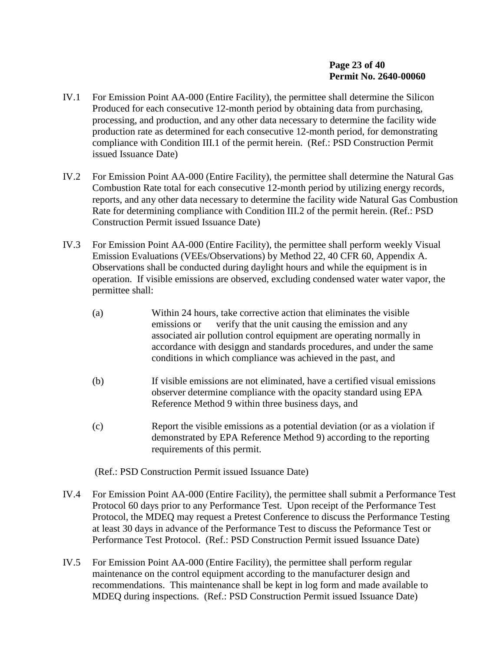#### **Page 23 of 40 Permit No. 2640-00060**

- IV.1 For Emission Point AA-000 (Entire Facility), the permittee shall determine the Silicon Produced for each consecutive 12-month period by obtaining data from purchasing, processing, and production, and any other data necessary to determine the facility wide production rate as determined for each consecutive 12-month period, for demonstrating compliance with Condition III.1 of the permit herein. (Ref.: PSD Construction Permit issued Issuance Date)
- IV.2 For Emission Point AA-000 (Entire Facility), the permittee shall determine the Natural Gas Combustion Rate total for each consecutive 12-month period by utilizing energy records, reports, and any other data necessary to determine the facility wide Natural Gas Combustion Rate for determining compliance with Condition III.2 of the permit herein. (Ref.: PSD Construction Permit issued Issuance Date)
- IV.3 For Emission Point AA-000 (Entire Facility), the permittee shall perform weekly Visual Emission Evaluations (VEEs/Observations) by Method 22, 40 CFR 60, Appendix A. Observations shall be conducted during daylight hours and while the equipment is in operation. If visible emissions are observed, excluding condensed water water vapor, the permittee shall:
	- (a) Within 24 hours, take corrective action that eliminates the visible emissions or verify that the unit causing the emission and any associated air pollution control equipment are operating normally in accordance with desiggn and standards procedures, and under the same conditions in which compliance was achieved in the past, and
	- (b) If visible emissions are not eliminated, have a certified visual emissions observer determine compliance with the opacity standard using EPA Reference Method 9 within three business days, and
	- (c) Report the visible emissions as a potential deviation (or as a violation if demonstrated by EPA Reference Method 9) according to the reporting requirements of this permit.

(Ref.: PSD Construction Permit issued Issuance Date)

- IV.4 For Emission Point AA-000 (Entire Facility), the permittee shall submit a Performance Test Protocol 60 days prior to any Performance Test. Upon receipt of the Performance Test Protocol, the MDEQ may request a Pretest Conference to discuss the Performance Testing at least 30 days in advance of the Performance Test to discuss the Peformance Test or Performance Test Protocol. (Ref.: PSD Construction Permit issued Issuance Date)
- IV.5 For Emission Point AA-000 (Entire Facility), the permittee shall perform regular maintenance on the control equipment according to the manufacturer design and recommendations. This maintenance shall be kept in log form and made available to MDEQ during inspections. (Ref.: PSD Construction Permit issued Issuance Date)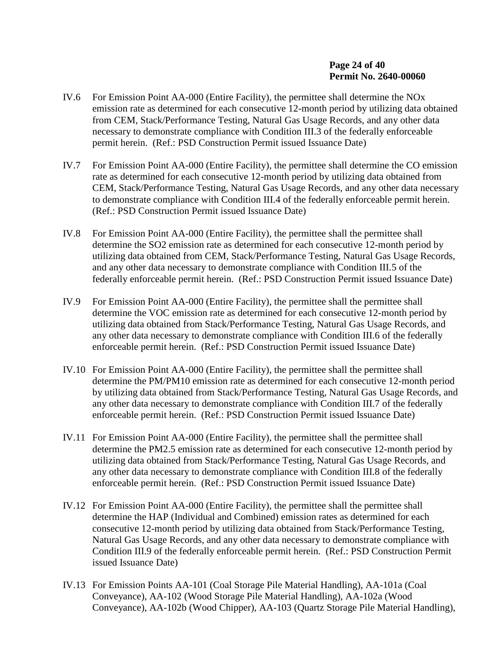## **Page 24 of 40 Permit No. 2640-00060**

- IV.6 For Emission Point AA-000 (Entire Facility), the permittee shall determine the NOx emission rate as determined for each consecutive 12-month period by utilizing data obtained from CEM, Stack/Performance Testing, Natural Gas Usage Records, and any other data necessary to demonstrate compliance with Condition III.3 of the federally enforceable permit herein. (Ref.: PSD Construction Permit issued Issuance Date)
- IV.7 For Emission Point AA-000 (Entire Facility), the permittee shall determine the CO emission rate as determined for each consecutive 12-month period by utilizing data obtained from CEM, Stack/Performance Testing, Natural Gas Usage Records, and any other data necessary to demonstrate compliance with Condition III.4 of the federally enforceable permit herein. (Ref.: PSD Construction Permit issued Issuance Date)
- IV.8 For Emission Point AA-000 (Entire Facility), the permittee shall the permittee shall determine the SO2 emission rate as determined for each consecutive 12-month period by utilizing data obtained from CEM, Stack/Performance Testing, Natural Gas Usage Records, and any other data necessary to demonstrate compliance with Condition III.5 of the federally enforceable permit herein. (Ref.: PSD Construction Permit issued Issuance Date)
- IV.9 For Emission Point AA-000 (Entire Facility), the permittee shall the permittee shall determine the VOC emission rate as determined for each consecutive 12-month period by utilizing data obtained from Stack/Performance Testing, Natural Gas Usage Records, and any other data necessary to demonstrate compliance with Condition III.6 of the federally enforceable permit herein. (Ref.: PSD Construction Permit issued Issuance Date)
- IV.10 For Emission Point AA-000 (Entire Facility), the permittee shall the permittee shall determine the PM/PM10 emission rate as determined for each consecutive 12-month period by utilizing data obtained from Stack/Performance Testing, Natural Gas Usage Records, and any other data necessary to demonstrate compliance with Condition III.7 of the federally enforceable permit herein. (Ref.: PSD Construction Permit issued Issuance Date)
- IV.11 For Emission Point AA-000 (Entire Facility), the permittee shall the permittee shall determine the PM2.5 emission rate as determined for each consecutive 12-month period by utilizing data obtained from Stack/Performance Testing, Natural Gas Usage Records, and any other data necessary to demonstrate compliance with Condition III.8 of the federally enforceable permit herein. (Ref.: PSD Construction Permit issued Issuance Date)
- IV.12 For Emission Point AA-000 (Entire Facility), the permittee shall the permittee shall determine the HAP (Individual and Combined) emission rates as determined for each consecutive 12-month period by utilizing data obtained from Stack/Performance Testing, Natural Gas Usage Records, and any other data necessary to demonstrate compliance with Condition III.9 of the federally enforceable permit herein. (Ref.: PSD Construction Permit issued Issuance Date)
- IV.13 For Emission Points AA-101 (Coal Storage Pile Material Handling), AA-101a (Coal Conveyance), AA-102 (Wood Storage Pile Material Handling), AA-102a (Wood Conveyance), AA-102b (Wood Chipper), AA-103 (Quartz Storage Pile Material Handling),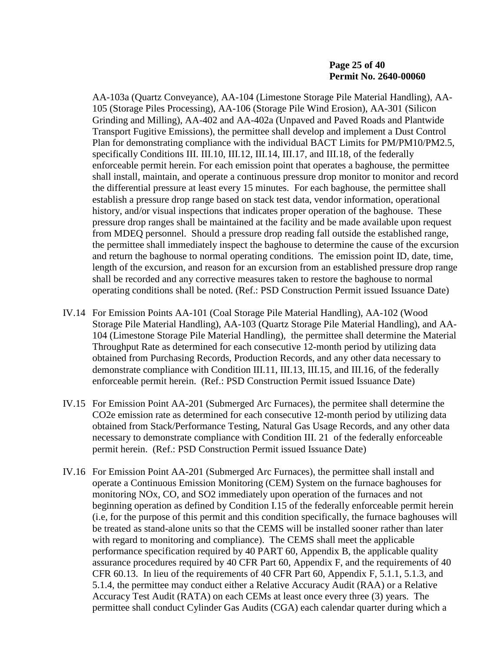#### **Page 25 of 40 Permit No. 2640-00060**

AA-103a (Quartz Conveyance), AA-104 (Limestone Storage Pile Material Handling), AA-105 (Storage Piles Processing), AA-106 (Storage Pile Wind Erosion), AA-301 (Silicon Grinding and Milling), AA-402 and AA-402a (Unpaved and Paved Roads and Plantwide Transport Fugitive Emissions), the permittee shall develop and implement a Dust Control Plan for demonstrating compliance with the individual BACT Limits for PM/PM10/PM2.5, specifically Conditions III. III.10, III.12, III.14, III.17, and III.18, of the federally enforceable permit herein. For each emission point that operates a baghouse, the permittee shall install, maintain, and operate a continuous pressure drop monitor to monitor and record the differential pressure at least every 15 minutes. For each baghouse, the permittee shall establish a pressure drop range based on stack test data, vendor information, operational history, and/or visual inspections that indicates proper operation of the baghouse. These pressure drop ranges shall be maintained at the facility and be made available upon request from MDEQ personnel. Should a pressure drop reading fall outside the established range, the permittee shall immediately inspect the baghouse to determine the cause of the excursion and return the baghouse to normal operating conditions. The emission point ID, date, time, length of the excursion, and reason for an excursion from an established pressure drop range shall be recorded and any corrective measures taken to restore the baghouse to normal operating conditions shall be noted. (Ref.: PSD Construction Permit issued Issuance Date)

- IV.14 For Emission Points AA-101 (Coal Storage Pile Material Handling), AA-102 (Wood Storage Pile Material Handling), AA-103 (Quartz Storage Pile Material Handling), and AA-104 (Limestone Storage Pile Material Handling), the permittee shall determine the Material Throughput Rate as determined for each consecutive 12-month period by utilizing data obtained from Purchasing Records, Production Records, and any other data necessary to demonstrate compliance with Condition III.11, III.13, III.15, and III.16, of the federally enforceable permit herein. (Ref.: PSD Construction Permit issued Issuance Date)
- IV.15 For Emission Point AA-201 (Submerged Arc Furnaces), the permitee shall determine the CO2e emission rate as determined for each consecutive 12-month period by utilizing data obtained from Stack/Performance Testing, Natural Gas Usage Records, and any other data necessary to demonstrate compliance with Condition III. 21 of the federally enforceable permit herein. (Ref.: PSD Construction Permit issued Issuance Date)
- IV.16 For Emission Point AA-201 (Submerged Arc Furnaces), the permittee shall install and operate a Continuous Emission Monitoring (CEM) System on the furnace baghouses for monitoring NOx, CO, and SO2 immediately upon operation of the furnaces and not beginning operation as defined by Condition I.15 of the federally enforceable permit herein (i.e, for the purpose of this permit and this condition specifically, the furnace baghouses will be treated as stand-alone units so that the CEMS will be installed sooner rather than later with regard to monitoring and compliance). The CEMS shall meet the applicable performance specification required by 40 PART 60, Appendix B, the applicable quality assurance procedures required by 40 CFR Part 60, Appendix F, and the requirements of 40 CFR 60.13. In lieu of the requirements of 40 CFR Part 60, Appendix F, 5.1.1, 5.1.3, and 5.1.4, the permittee may conduct either a Relative Accuracy Audit (RAA) or a Relative Accuracy Test Audit (RATA) on each CEMs at least once every three (3) years. The permittee shall conduct Cylinder Gas Audits (CGA) each calendar quarter during which a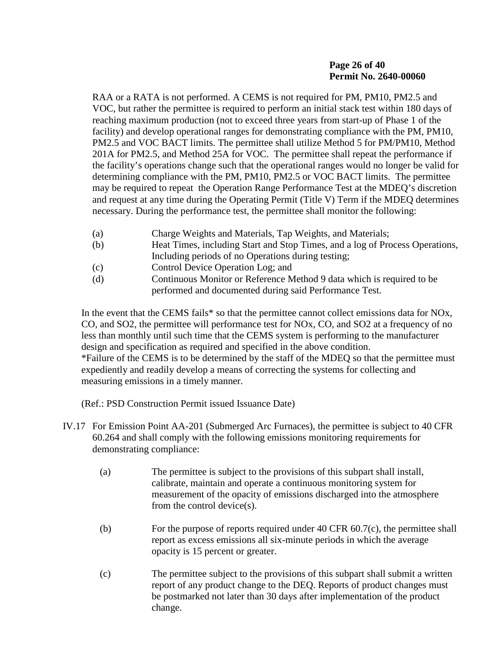#### **Page 26 of 40 Permit No. 2640-00060**

RAA or a RATA is not performed. A CEMS is not required for PM, PM10, PM2.5 and VOC, but rather the permittee is required to perform an initial stack test within 180 days of reaching maximum production (not to exceed three years from start-up of Phase 1 of the facility) and develop operational ranges for demonstrating compliance with the PM, PM10, PM2.5 and VOC BACT limits. The permittee shall utilize Method 5 for PM/PM10, Method 201A for PM2.5, and Method 25A for VOC. The permittee shall repeat the performance if the facility's operations change such that the operational ranges would no longer be valid for determining compliance with the PM, PM10, PM2.5 or VOC BACT limits. The permittee may be required to repeat the Operation Range Performance Test at the MDEQ's discretion and request at any time during the Operating Permit (Title V) Term if the MDEQ determines necessary. During the performance test, the permittee shall monitor the following:

- (a) Charge Weights and Materials, Tap Weights, and Materials;
- (b) Heat Times, including Start and Stop Times, and a log of Process Operations, Including periods of no Operations during testing;
- (c) Control Device Operation Log; and
- (d) Continuous Monitor or Reference Method 9 data which is required to be performed and documented during said Performance Test.

In the event that the CEMS fails\* so that the permittee cannot collect emissions data for NOx, CO, and SO2, the permittee will performance test for NOx, CO, and SO2 at a frequency of no less than monthly until such time that the CEMS system is performing to the manufacturer design and specification as required and specified in the above condition. \*Failure of the CEMS is to be determined by the staff of the MDEQ so that the permittee must expediently and readily develop a means of correcting the systems for collecting and measuring emissions in a timely manner.

(Ref.: PSD Construction Permit issued Issuance Date)

- IV.17 For Emission Point AA-201 (Submerged Arc Furnaces), the permittee is subject to 40 CFR 60.264 and shall comply with the following emissions monitoring requirements for demonstrating compliance:
	- (a) The permittee is subject to the provisions of this subpart shall install, calibrate, maintain and operate a continuous monitoring system for measurement of the opacity of emissions discharged into the atmosphere from the control device(s).
	- (b) For the purpose of reports required under 40 CFR 60.7(c), the permittee shall report as excess emissions all six-minute periods in which the average opacity is 15 percent or greater.
	- (c) The permittee subject to the provisions of this subpart shall submit a written report of any product change to the DEQ. Reports of product changes must be postmarked not later than 30 days after implementation of the product change.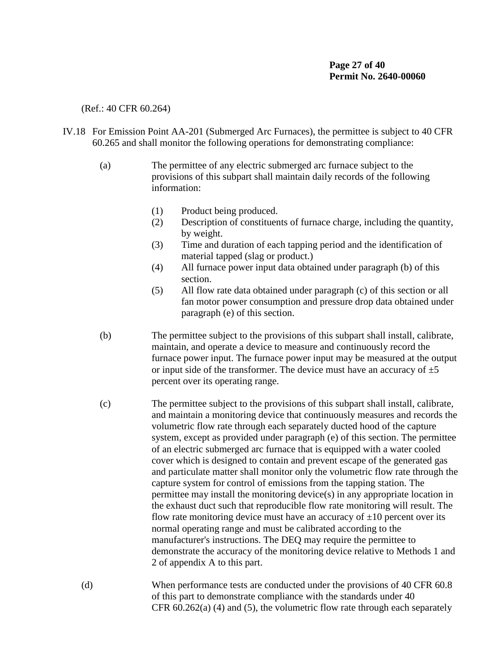## **Page 27 of 40 Permit No. 2640-00060**

(Ref.: 40 CFR 60.264)

- IV.18 For Emission Point AA-201 (Submerged Arc Furnaces), the permittee is subject to 40 CFR 60.265 and shall monitor the following operations for demonstrating compliance:
	- (a) The permittee of any electric submerged arc furnace subject to the provisions of this subpart shall maintain daily records of the following information:
		- (1) Product being produced.
		- (2) Description of constituents of furnace charge, including the quantity, by weight.
		- (3) Time and duration of each tapping period and the identification of material tapped (slag or product.)
		- (4) All furnace power input data obtained under paragraph (b) of this section.
		- (5) All flow rate data obtained under paragraph (c) of this section or all fan motor power consumption and pressure drop data obtained under paragraph (e) of this section.
	- (b) The permittee subject to the provisions of this subpart shall install, calibrate, maintain, and operate a device to measure and continuously record the furnace power input. The furnace power input may be measured at the output or input side of the transformer. The device must have an accuracy of  $\pm 5$ percent over its operating range.
	- (c) The permittee subject to the provisions of this subpart shall install, calibrate, and maintain a monitoring device that continuously measures and records the volumetric flow rate through each separately ducted hood of the capture system, except as provided under paragraph (e) of this section. The permittee of an electric submerged arc furnace that is equipped with a water cooled cover which is designed to contain and prevent escape of the generated gas and particulate matter shall monitor only the volumetric flow rate through the capture system for control of emissions from the tapping station. The permittee may install the monitoring device(s) in any appropriate location in the exhaust duct such that reproducible flow rate monitoring will result. The flow rate monitoring device must have an accuracy of  $\pm 10$  percent over its normal operating range and must be calibrated according to the manufacturer's instructions. The DEQ may require the permittee to demonstrate the accuracy of the monitoring device relative to Methods 1 and 2 of appendix A to this part.
	- (d) When performance tests are conducted under the provisions of 40 CFR 60.8 of this part to demonstrate compliance with the standards under 40 CFR  $60.262(a)$  (4) and (5), the volumetric flow rate through each separately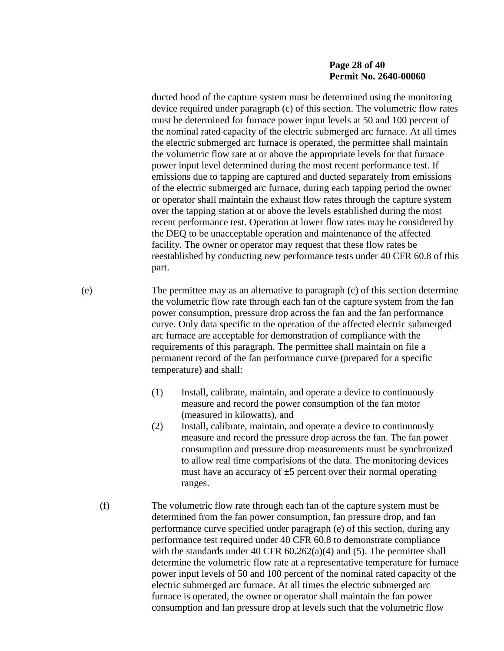#### **Page 28 of 40 Permit No. 2640-00060**

ducted hood of the capture system must be determined using the monitoring device required under paragraph (c) of this section. The volumetric flow rates must be determined for furnace power input levels at 50 and 100 percent of the nominal rated capacity of the electric submerged arc furnace. At all times the electric submerged arc furnace is operated, the permittee shall maintain the volumetric flow rate at or above the appropriate levels for that furnace power input level determined during the most recent performance test. If emissions due to tapping are captured and ducted separately from emissions of the electric submerged arc furnace, during each tapping period the owner or operator shall maintain the exhaust flow rates through the capture system over the tapping station at or above the levels established during the most recent performance test. Operation at lower flow rates may be considered by the DEQ to be unacceptable operation and maintenance of the affected facility. The owner or operator may request that these flow rates be reestablished by conducting new performance tests under 40 CFR 60.8 of this part.

 (e) The permittee may as an alternative to paragraph (c) of this section determine the volumetric flow rate through each fan of the capture system from the fan power consumption, pressure drop across the fan and the fan performance curve. Only data specific to the operation of the affected electric submerged arc furnace are acceptable for demonstration of compliance with the requirements of this paragraph. The permittee shall maintain on file a permanent record of the fan performance curve (prepared for a specific temperature) and shall:

- (1) Install, calibrate, maintain, and operate a device to continuously measure and record the power consumption of the fan motor (measured in kilowatts), and
- (2) Install, calibrate, maintain, and operate a device to continuously measure and record the pressure drop across the fan. The fan power consumption and pressure drop measurements must be synchronized to allow real time comparisions of the data. The monitoring devices must have an accuracy of  $\pm 5$  percent over their normal operating ranges.
- (f) The volumetric flow rate through each fan of the capture system must be determined from the fan power consumption, fan pressure drop, and fan performance curve specified under paragraph (e) of this section, during any performance test required under 40 CFR 60.8 to demonstrate compliance with the standards under 40 CFR  $60.262(a)(4)$  and  $(5)$ . The permittee shall determine the volumetric flow rate at a representative temperature for furnace power input levels of 50 and 100 percent of the nominal rated capacity of the electric submerged arc furnace. At all times the electric submerged arc furnace is operated, the owner or operator shall maintain the fan power consumption and fan pressure drop at levels such that the volumetric flow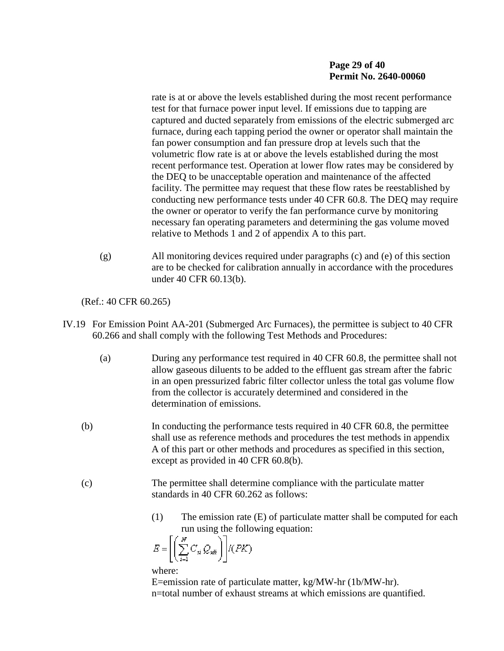## **Page 29 of 40 Permit No. 2640-00060**

rate is at or above the levels established during the most recent performance test for that furnace power input level. If emissions due to tapping are captured and ducted separately from emissions of the electric submerged arc furnace, during each tapping period the owner or operator shall maintain the fan power consumption and fan pressure drop at levels such that the volumetric flow rate is at or above the levels established during the most recent performance test. Operation at lower flow rates may be considered by the DEQ to be unacceptable operation and maintenance of the affected facility. The permittee may request that these flow rates be reestablished by conducting new performance tests under 40 CFR 60.8. The DEQ may require the owner or operator to verify the fan performance curve by monitoring necessary fan operating parameters and determining the gas volume moved relative to Methods 1 and 2 of appendix A to this part.

 (g) All monitoring devices required under paragraphs (c) and (e) of this section are to be checked for calibration annually in accordance with the procedures under 40 CFR 60.13(b).

(Ref.: 40 CFR 60.265)

- IV.19 For Emission Point AA-201 (Submerged Arc Furnaces), the permittee is subject to 40 CFR 60.266 and shall comply with the following Test Methods and Procedures:
	- (a) During any performance test required in 40 CFR 60.8, the permittee shall not allow gaseous diluents to be added to the effluent gas stream after the fabric in an open pressurized fabric filter collector unless the total gas volume flow from the collector is accurately determined and considered in the determination of emissions.
	- (b) In conducting the performance tests required in 40 CFR 60.8, the permittee shall use as reference methods and procedures the test methods in appendix A of this part or other methods and procedures as specified in this section, except as provided in 40 CFR 60.8(b).
	- (c) The permittee shall determine compliance with the particulate matter standards in 40 CFR 60.262 as follows:
		- (1) The emission rate (E) of particulate matter shall be computed for each run using the following equation:

$$
E = \left[ \left( \sum_{i=1}^{N} C_{si} Q_{\mathbf{x}i} \right) \right] / (PK)
$$

where:

 E=emission rate of particulate matter, kg/MW-hr (1b/MW-hr). n=total number of exhaust streams at which emissions are quantified.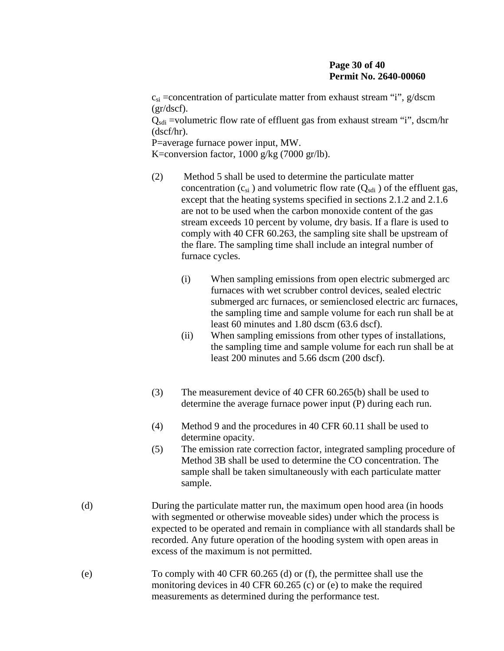## **Page 30 of 40 Permit No. 2640-00060**

 $c_{si}$  =concentration of particulate matter from exhaust stream "i", g/dscm (gr/dscf).  $Q_{\text{sdi}}$  =volumetric flow rate of effluent gas from exhaust stream "i", dscm/hr (dscf/hr). P=average furnace power input, MW. K=conversion factor,  $1000 \frac{\text{g}}{\text{kg}}$  (7000 gr/lb).

- (2) Method 5 shall be used to determine the particulate matter concentration  $(c_{si})$  and volumetric flow rate  $(Q_{sdi})$  of the effluent gas, except that the heating systems specified in sections 2.1.2 and 2.1.6 are not to be used when the carbon monoxide content of the gas stream exceeds 10 percent by volume, dry basis. If a flare is used to comply with 40 CFR 60.263, the sampling site shall be upstream of the flare. The sampling time shall include an integral number of furnace cycles.
	- (i) When sampling emissions from open electric submerged arc furnaces with wet scrubber control devices, sealed electric submerged arc furnaces, or semienclosed electric arc furnaces, the sampling time and sample volume for each run shall be at least 60 minutes and 1.80 dscm (63.6 dscf).
	- (ii) When sampling emissions from other types of installations, the sampling time and sample volume for each run shall be at least 200 minutes and 5.66 dscm (200 dscf).
- (3) The measurement device of 40 CFR 60.265(b) shall be used to determine the average furnace power input (P) during each run.
- (4) Method 9 and the procedures in 40 CFR 60.11 shall be used to determine opacity.
- (5) The emission rate correction factor, integrated sampling procedure of Method 3B shall be used to determine the CO concentration. The sample shall be taken simultaneously with each particulate matter sample.
- (d) During the particulate matter run, the maximum open hood area (in hoods with segmented or otherwise moveable sides) under which the process is expected to be operated and remain in compliance with all standards shall be recorded. Any future operation of the hooding system with open areas in excess of the maximum is not permitted.
- (e) To comply with 40 CFR 60.265 (d) or (f), the permittee shall use the monitoring devices in 40 CFR 60.265 (c) or (e) to make the required measurements as determined during the performance test.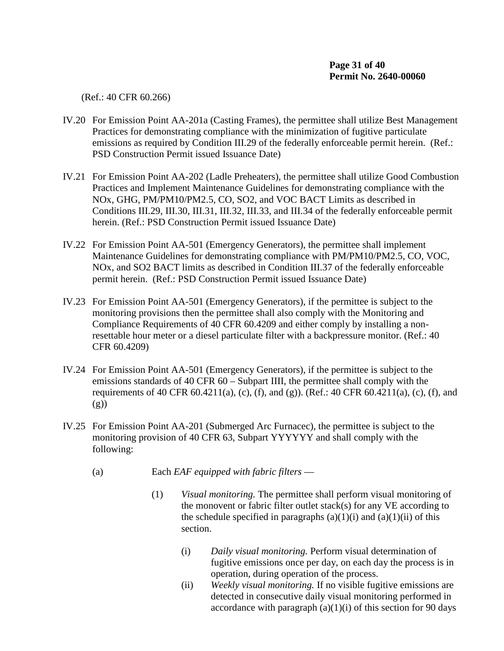#### **Page 31 of 40 Permit No. 2640-00060**

(Ref.: 40 CFR 60.266)

- IV.20 For Emission Point AA-201a (Casting Frames), the permittee shall utilize Best Management Practices for demonstrating compliance with the minimization of fugitive particulate emissions as required by Condition III.29 of the federally enforceable permit herein. (Ref.: PSD Construction Permit issued Issuance Date)
- IV.21 For Emission Point AA-202 (Ladle Preheaters), the permittee shall utilize Good Combustion Practices and Implement Maintenance Guidelines for demonstrating compliance with the NOx, GHG, PM/PM10/PM2.5, CO, SO2, and VOC BACT Limits as described in Conditions III.29, III.30, III.31, III.32, III.33, and III.34 of the federally enforceable permit herein. (Ref.: PSD Construction Permit issued Issuance Date)
- IV.22 For Emission Point AA-501 (Emergency Generators), the permittee shall implement Maintenance Guidelines for demonstrating compliance with PM/PM10/PM2.5, CO, VOC, NOx, and SO2 BACT limits as described in Condition III.37 of the federally enforceable permit herein. (Ref.: PSD Construction Permit issued Issuance Date)
- IV.23 For Emission Point AA-501 (Emergency Generators), if the permittee is subject to the monitoring provisions then the permittee shall also comply with the Monitoring and Compliance Requirements of 40 CFR 60.4209 and either comply by installing a nonresettable hour meter or a diesel particulate filter with a backpressure monitor. (Ref.: 40 CFR 60.4209)
- IV.24 For Emission Point AA-501 (Emergency Generators), if the permittee is subject to the emissions standards of 40 CFR 60 – Subpart IIII, the permittee shall comply with the requirements of 40 CFR 60.4211(a), (c), (f), and (g)). (Ref.: 40 CFR 60.4211(a), (c), (f), and (g))
- IV.25 For Emission Point AA-201 (Submerged Arc Furnacec), the permittee is subject to the monitoring provision of 40 CFR 63, Subpart YYYYYY and shall comply with the following:
	- (a) Each *EAF equipped with fabric filters*
		- (1) *Visual monitoring.* The permittee shall perform visual monitoring of the monovent or fabric filter outlet stack(s) for any VE according to the schedule specified in paragraphs  $(a)(1)(i)$  and  $(a)(1)(ii)$  of this section.
			- (i) *Daily visual monitoring.* Perform visual determination of fugitive emissions once per day, on each day the process is in operation, during operation of the process.
			- (ii) *Weekly visual monitoring.* If no visible fugitive emissions are detected in consecutive daily visual monitoring performed in accordance with paragraph  $(a)(1)(i)$  of this section for 90 days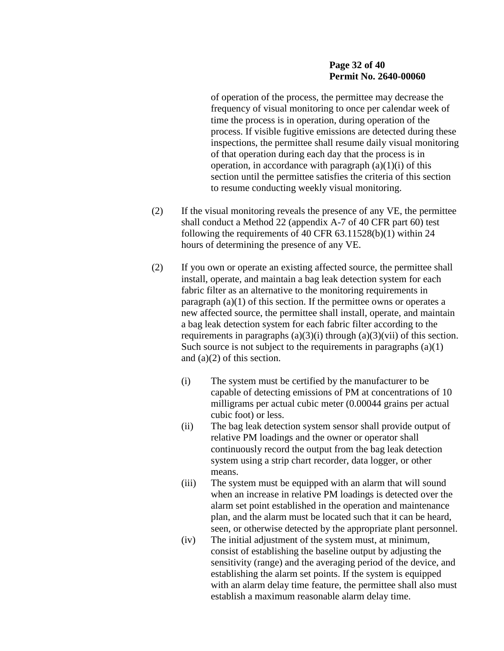#### **Page 32 of 40 Permit No. 2640-00060**

of operation of the process, the permittee may decrease the frequency of visual monitoring to once per calendar week of time the process is in operation, during operation of the process. If visible fugitive emissions are detected during these inspections, the permittee shall resume daily visual monitoring of that operation during each day that the process is in operation, in accordance with paragraph  $(a)(1)(i)$  of this section until the permittee satisfies the criteria of this section to resume conducting weekly visual monitoring.

- (2) If the visual monitoring reveals the presence of any VE, the permittee shall conduct a Method 22 (appendix A-7 of 40 CFR part 60) test following the requirements of 40 CFR  $63.11528(b)(1)$  within 24 hours of determining the presence of any VE.
- (2) If you own or operate an existing affected source, the permittee shall install, operate, and maintain a bag leak detection system for each fabric filter as an alternative to the monitoring requirements in paragraph (a)(1) of this section. If the permittee owns or operates a new affected source, the permittee shall install, operate, and maintain a bag leak detection system for each fabric filter according to the requirements in paragraphs  $(a)(3)(i)$  through  $(a)(3)(vii)$  of this section. Such source is not subject to the requirements in paragraphs  $(a)(1)$ and (a)(2) of this section.
	- (i) The system must be certified by the manufacturer to be capable of detecting emissions of PM at concentrations of 10 milligrams per actual cubic meter (0.00044 grains per actual cubic foot) or less.
	- (ii) The bag leak detection system sensor shall provide output of relative PM loadings and the owner or operator shall continuously record the output from the bag leak detection system using a strip chart recorder, data logger, or other means.
	- (iii) The system must be equipped with an alarm that will sound when an increase in relative PM loadings is detected over the alarm set point established in the operation and maintenance plan, and the alarm must be located such that it can be heard, seen, or otherwise detected by the appropriate plant personnel.
	- (iv) The initial adjustment of the system must, at minimum, consist of establishing the baseline output by adjusting the sensitivity (range) and the averaging period of the device, and establishing the alarm set points. If the system is equipped with an alarm delay time feature, the permittee shall also must establish a maximum reasonable alarm delay time.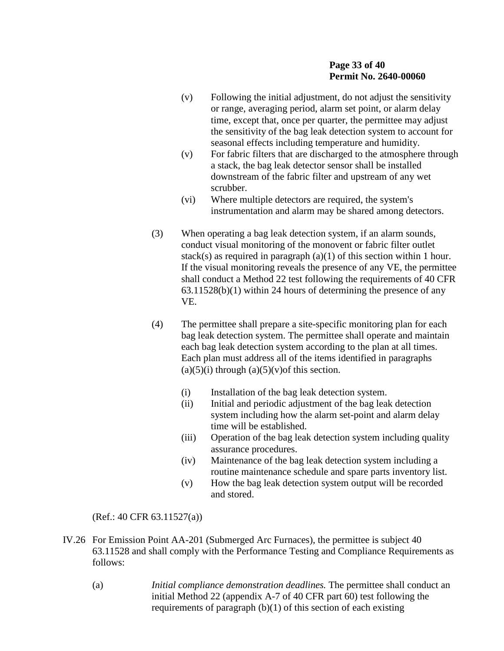## **Page 33 of 40 Permit No. 2640-00060**

- (v) Following the initial adjustment, do not adjust the sensitivity or range, averaging period, alarm set point, or alarm delay time, except that, once per quarter, the permittee may adjust the sensitivity of the bag leak detection system to account for seasonal effects including temperature and humidity.
- (v) For fabric filters that are discharged to the atmosphere through a stack, the bag leak detector sensor shall be installed downstream of the fabric filter and upstream of any wet scrubber.
- (vi) Where multiple detectors are required, the system's instrumentation and alarm may be shared among detectors.
- (3) When operating a bag leak detection system, if an alarm sounds, conduct visual monitoring of the monovent or fabric filter outlet stack(s) as required in paragraph  $(a)(1)$  of this section within 1 hour. If the visual monitoring reveals the presence of any VE, the permittee shall conduct a Method 22 test following the requirements of 40 CFR 63.11528(b)(1) within 24 hours of determining the presence of any VE.
- (4) The permittee shall prepare a site-specific monitoring plan for each bag leak detection system. The permittee shall operate and maintain each bag leak detection system according to the plan at all times. Each plan must address all of the items identified in paragraphs  $(a)(5)(i)$  through  $(a)(5)(v)$  of this section.
	- (i) Installation of the bag leak detection system.
	- (ii) Initial and periodic adjustment of the bag leak detection system including how the alarm set-point and alarm delay time will be established.
	- (iii) Operation of the bag leak detection system including quality assurance procedures.
	- (iv) Maintenance of the bag leak detection system including a routine maintenance schedule and spare parts inventory list.
	- (v) How the bag leak detection system output will be recorded and stored.

(Ref.: 40 CFR 63.11527(a))

- IV.26 For Emission Point AA-201 (Submerged Arc Furnaces), the permittee is subject 40 63.11528 and shall comply with the Performance Testing and Compliance Requirements as follows:
	- (a) *Initial compliance demonstration deadlines.* The permittee shall conduct an initial Method 22 (appendix A-7 of 40 CFR part 60) test following the requirements of paragraph  $(b)(1)$  of this section of each existing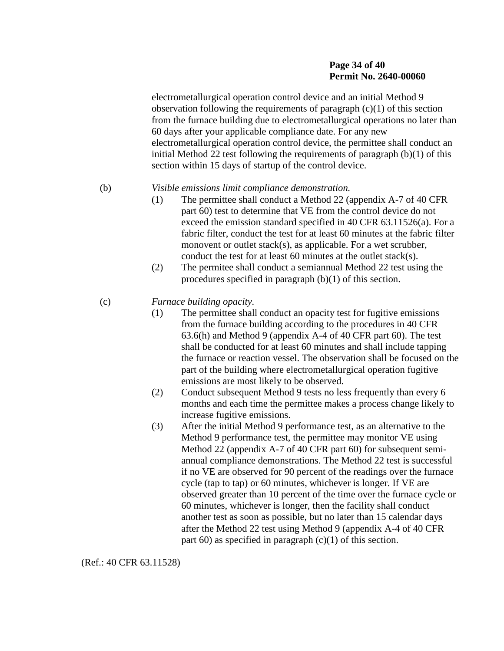## **Page 34 of 40 Permit No. 2640-00060**

electrometallurgical operation control device and an initial Method 9 observation following the requirements of paragraph  $(c)(1)$  of this section from the furnace building due to electrometallurgical operations no later than 60 days after your applicable compliance date. For any new electrometallurgical operation control device, the permittee shall conduct an initial Method 22 test following the requirements of paragraph  $(b)(1)$  of this section within 15 days of startup of the control device.

#### (b) *Visible emissions limit compliance demonstration.*

- (1) The permittee shall conduct a Method 22 (appendix A-7 of 40 CFR part 60) test to determine that VE from the control device do not exceed the emission standard specified in 40 CFR 63.11526(a). For a fabric filter, conduct the test for at least 60 minutes at the fabric filter monovent or outlet stack(s), as applicable. For a wet scrubber, conduct the test for at least 60 minutes at the outlet stack(s).
- (2) The permitee shall conduct a semiannual Method 22 test using the procedures specified in paragraph (b)(1) of this section.

#### (c) *Furnace building opacity.*

- (1) The permittee shall conduct an opacity test for fugitive emissions from the furnace building according to the procedures in 40 CFR 63.6(h) and Method 9 (appendix A-4 of 40 CFR part 60). The test shall be conducted for at least 60 minutes and shall include tapping the furnace or reaction vessel. The observation shall be focused on the part of the building where electrometallurgical operation fugitive emissions are most likely to be observed.
- (2) Conduct subsequent Method 9 tests no less frequently than every 6 months and each time the permittee makes a process change likely to increase fugitive emissions.
- (3) After the initial Method 9 performance test, as an alternative to the Method 9 performance test, the permittee may monitor VE using Method 22 (appendix A-7 of 40 CFR part 60) for subsequent semiannual compliance demonstrations. The Method 22 test is successful if no VE are observed for 90 percent of the readings over the furnace cycle (tap to tap) or 60 minutes, whichever is longer. If VE are observed greater than 10 percent of the time over the furnace cycle or 60 minutes, whichever is longer, then the facility shall conduct another test as soon as possible, but no later than 15 calendar days after the Method 22 test using Method 9 (appendix A-4 of 40 CFR part 60) as specified in paragraph  $(c)(1)$  of this section.

(Ref.: 40 CFR 63.11528)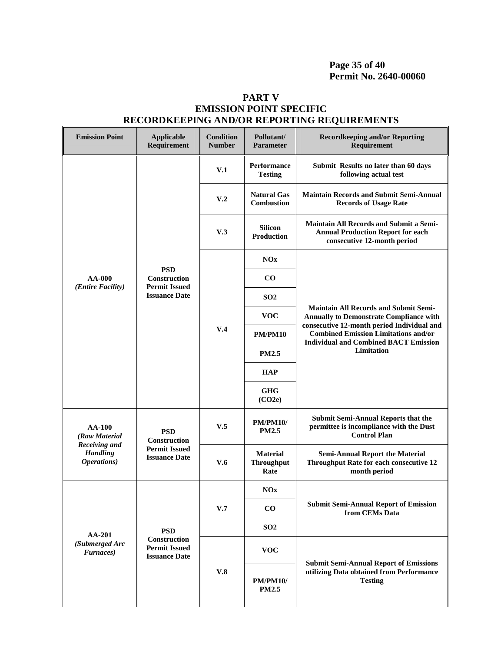## **Page 35 of 40 Permit No. 2640-00060**

| <b>Emission Point</b>                                                                     | <b>Applicable</b><br>Requirement                                           | <b>Condition</b><br><b>Number</b> | Pollutant/<br><b>Parameter</b>               | <b>Recordkeeping and/or Reporting</b><br>Requirement                                                                                                                                                                                                      |
|-------------------------------------------------------------------------------------------|----------------------------------------------------------------------------|-----------------------------------|----------------------------------------------|-----------------------------------------------------------------------------------------------------------------------------------------------------------------------------------------------------------------------------------------------------------|
| $AA-000$<br>(Entire Facility)                                                             | <b>PSD</b><br>Construction<br><b>Permit Issued</b><br><b>Issuance Date</b> | V.1                               | Performance<br><b>Testing</b>                | Submit Results no later than 60 days<br>following actual test                                                                                                                                                                                             |
|                                                                                           |                                                                            | V <sub>.2</sub>                   | <b>Natural Gas</b><br><b>Combustion</b>      | <b>Maintain Records and Submit Semi-Annual</b><br><b>Records of Usage Rate</b>                                                                                                                                                                            |
|                                                                                           |                                                                            | V.3                               | <b>Silicon</b><br><b>Production</b>          | <b>Maintain All Records and Submit a Semi-</b><br><b>Annual Production Report for each</b><br>consecutive 12-month period                                                                                                                                 |
|                                                                                           |                                                                            | V.4                               | <b>NOx</b>                                   | <b>Maintain All Records and Submit Semi-</b><br><b>Annually to Demonstrate Compliance with</b><br>consecutive 12-month period Individual and<br><b>Combined Emission Limitations and/or</b><br><b>Individual and Combined BACT Emission</b><br>Limitation |
|                                                                                           |                                                                            |                                   | CO                                           |                                                                                                                                                                                                                                                           |
|                                                                                           |                                                                            |                                   | SO <sub>2</sub>                              |                                                                                                                                                                                                                                                           |
|                                                                                           |                                                                            |                                   | <b>VOC</b>                                   |                                                                                                                                                                                                                                                           |
|                                                                                           |                                                                            |                                   | PM/PM10                                      |                                                                                                                                                                                                                                                           |
|                                                                                           |                                                                            |                                   | <b>PM2.5</b>                                 |                                                                                                                                                                                                                                                           |
|                                                                                           |                                                                            |                                   | <b>HAP</b>                                   |                                                                                                                                                                                                                                                           |
|                                                                                           |                                                                            |                                   | <b>GHG</b><br>(CO2e)                         |                                                                                                                                                                                                                                                           |
| <b>AA-100</b><br>(Raw Material<br>Receiving and<br><b>Handling</b><br><i>Operations</i> ) | <b>PSD</b><br>Construction<br><b>Permit Issued</b><br><b>Issuance Date</b> | V.5                               | <b>PM/PM10/</b><br><b>PM2.5</b>              | <b>Submit Semi-Annual Reports that the</b><br>permittee is incompliance with the Dust<br><b>Control Plan</b>                                                                                                                                              |
|                                                                                           |                                                                            | V.6                               | <b>Material</b><br><b>Throughput</b><br>Rate | <b>Semi-Annual Report the Material</b><br>Throughput Rate for each consecutive 12<br>month period                                                                                                                                                         |
| $AA-201$<br>(Submerged Arc<br><b>Furnaces</b> )                                           | <b>PSD</b><br>Construction<br><b>Permit Issued</b><br><b>Issuance Date</b> | V.7                               | <b>NOx</b>                                   | <b>Submit Semi-Annual Report of Emission</b><br>from CEMs Data                                                                                                                                                                                            |
|                                                                                           |                                                                            |                                   | $\bf CO$                                     |                                                                                                                                                                                                                                                           |
|                                                                                           |                                                                            |                                   | SO <sub>2</sub>                              |                                                                                                                                                                                                                                                           |
|                                                                                           |                                                                            | V.8                               | <b>VOC</b>                                   | <b>Submit Semi-Annual Report of Emissions</b><br>utilizing Data obtained from Performance<br><b>Testing</b>                                                                                                                                               |
|                                                                                           |                                                                            |                                   | <b>PM/PM10/</b><br><b>PM2.5</b>              |                                                                                                                                                                                                                                                           |

## **PART V EMISSION POINT SPECIFIC RECORDKEEPING AND/OR REPORTING REQUIREMENTS**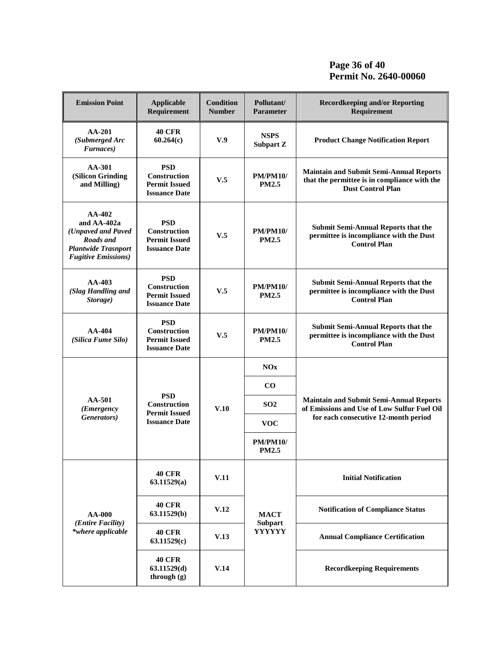## **Page 36 of 40 Permit No. 2640-00060**

| <b>Emission Point</b>                                                                                                 | <b>Applicable</b><br>Requirement                                                  | <b>Condition</b><br><b>Number</b> | Pollutant/<br><b>Parameter</b>                 | <b>Recordkeeping and/or Reporting</b><br>Requirement                                                                                  |
|-----------------------------------------------------------------------------------------------------------------------|-----------------------------------------------------------------------------------|-----------------------------------|------------------------------------------------|---------------------------------------------------------------------------------------------------------------------------------------|
| $AA-201$<br>(Submerged Arc<br>Furnaces)                                                                               | <b>40 CFR</b><br>60.264(c)                                                        | V.9                               | <b>NSPS</b><br><b>Subpart Z</b>                | <b>Product Change Notification Report</b>                                                                                             |
| $AA-301$<br>(Silicon Grinding<br>and Milling)                                                                         | <b>PSD</b><br>Construction<br><b>Permit Issued</b><br><b>Issuance Date</b>        | V.5                               | <b>PM/PM10/</b><br><b>PM2.5</b>                | <b>Maintain and Submit Semi-Annual Reports</b><br>that the permittee is in compliance with the<br><b>Dust Control Plan</b>            |
| AA-402<br>and AA-402a<br>(Unpaved and Paved<br>Roads and<br><b>Plantwide Trasnport</b><br><b>Fugitive Emissions</b> ) | <b>PSD</b><br>Construction<br><b>Permit Issued</b><br><b>Issuance Date</b>        | V.5                               | <b>PM/PM10/</b><br><b>PM2.5</b>                | <b>Submit Semi-Annual Reports that the</b><br>permittee is incompliance with the Dust<br><b>Control Plan</b>                          |
| $AA-403$<br>(Slag Handling and<br>Storage)                                                                            | <b>PSD</b><br><b>Construction</b><br><b>Permit Issued</b><br><b>Issuance Date</b> | V.5                               | <b>PM/PM10/</b><br><b>PM2.5</b>                | <b>Submit Semi-Annual Reports that the</b><br>permittee is incompliance with the Dust<br><b>Control Plan</b>                          |
| AA-404<br>(Silica Fume Silo)                                                                                          | <b>PSD</b><br>Construction<br><b>Permit Issued</b><br><b>Issuance Date</b>        | V.5                               | <b>PM/PM10/</b><br><b>PM2.5</b>                | <b>Submit Semi-Annual Reports that the</b><br>permittee is incompliance with the Dust<br><b>Control Plan</b>                          |
| $AA-501$<br><i>(Emergency</i><br>Generators)                                                                          | <b>PSD</b><br>Construction<br><b>Permit Issued</b><br><b>Issuance Date</b>        | V.10                              | <b>NOx</b>                                     | <b>Maintain and Submit Semi-Annual Reports</b><br>of Emissions and Use of Low Sulfur Fuel Oil<br>for each consecutive 12-month period |
|                                                                                                                       |                                                                                   |                                   | CO                                             |                                                                                                                                       |
|                                                                                                                       |                                                                                   |                                   | SO <sub>2</sub>                                |                                                                                                                                       |
|                                                                                                                       |                                                                                   |                                   | <b>VOC</b>                                     |                                                                                                                                       |
|                                                                                                                       |                                                                                   |                                   | <b>PM/PM10/</b><br><b>PM2.5</b>                |                                                                                                                                       |
| $AA-000$<br>(Entire Facility)<br>*where applicable                                                                    | <b>40 CFR</b><br>63.11529(a)                                                      | V.11                              | <b>MACT</b><br><b>Subpart</b><br><b>YYYYYY</b> | <b>Initial Notification</b>                                                                                                           |
|                                                                                                                       | <b>40 CFR</b><br>63.11529(b)                                                      | V.12                              |                                                | <b>Notification of Compliance Status</b>                                                                                              |
|                                                                                                                       | <b>40 CFR</b><br>63.11529(c)                                                      | V.13                              |                                                | <b>Annual Compliance Certification</b>                                                                                                |
|                                                                                                                       | <b>40 CFR</b><br>63.11529(d)<br>through (g)                                       | V.14                              |                                                | <b>Recordkeeping Requirements</b>                                                                                                     |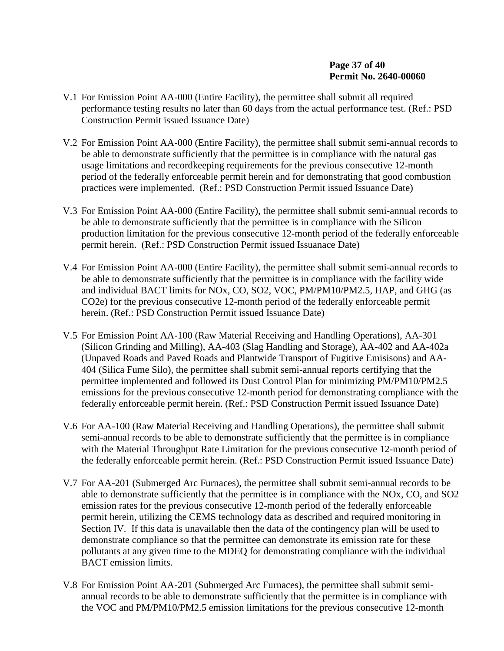## **Page 37 of 40 Permit No. 2640-00060**

- V.1 For Emission Point AA-000 (Entire Facility), the permittee shall submit all required performance testing results no later than 60 days from the actual performance test. (Ref.: PSD Construction Permit issued Issuance Date)
- V.2 For Emission Point AA-000 (Entire Facility), the permittee shall submit semi-annual records to be able to demonstrate sufficiently that the permittee is in compliance with the natural gas usage limitations and recordkeeping requirements for the previous consecutive 12-month period of the federally enforceable permit herein and for demonstrating that good combustion practices were implemented. (Ref.: PSD Construction Permit issued Issuance Date)
- V.3 For Emission Point AA-000 (Entire Facility), the permittee shall submit semi-annual records to be able to demonstrate sufficiently that the permittee is in compliance with the Silicon production limitation for the previous consecutive 12-month period of the federally enforceable permit herein. (Ref.: PSD Construction Permit issued Issuanace Date)
- V.4 For Emission Point AA-000 (Entire Facility), the permittee shall submit semi-annual records to be able to demonstrate sufficiently that the permittee is in compliance with the facility wide and individual BACT limits for NOx, CO, SO2, VOC, PM/PM10/PM2.5, HAP, and GHG (as CO2e) for the previous consecutive 12-month period of the federally enforceable permit herein. (Ref.: PSD Construction Permit issued Issuance Date)
- V.5 For Emission Point AA-100 (Raw Material Receiving and Handling Operations), AA-301 (Silicon Grinding and Milling), AA-403 (Slag Handling and Storage), AA-402 and AA-402a (Unpaved Roads and Paved Roads and Plantwide Transport of Fugitive Emisisons) and AA-404 (Silica Fume Silo), the permittee shall submit semi-annual reports certifying that the permittee implemented and followed its Dust Control Plan for minimizing PM/PM10/PM2.5 emissions for the previous consecutive 12-month period for demonstrating compliance with the federally enforceable permit herein. (Ref.: PSD Construction Permit issued Issuance Date)
- V.6 For AA-100 (Raw Material Receiving and Handling Operations), the permittee shall submit semi-annual records to be able to demonstrate sufficiently that the permittee is in compliance with the Material Throughput Rate Limitation for the previous consecutive 12-month period of the federally enforceable permit herein. (Ref.: PSD Construction Permit issued Issuance Date)
- V.7 For AA-201 (Submerged Arc Furnaces), the permittee shall submit semi-annual records to be able to demonstrate sufficiently that the permittee is in compliance with the NOx, CO, and SO2 emission rates for the previous consecutive 12-month period of the federally enforceable permit herein, utilizing the CEMS technology data as described and required monitoring in Section IV. If this data is unavailable then the data of the contingency plan will be used to demonstrate compliance so that the permittee can demonstrate its emission rate for these pollutants at any given time to the MDEQ for demonstrating compliance with the individual BACT emission limits.
- V.8 For Emission Point AA-201 (Submerged Arc Furnaces), the permittee shall submit semiannual records to be able to demonstrate sufficiently that the permittee is in compliance with the VOC and PM/PM10/PM2.5 emission limitations for the previous consecutive 12-month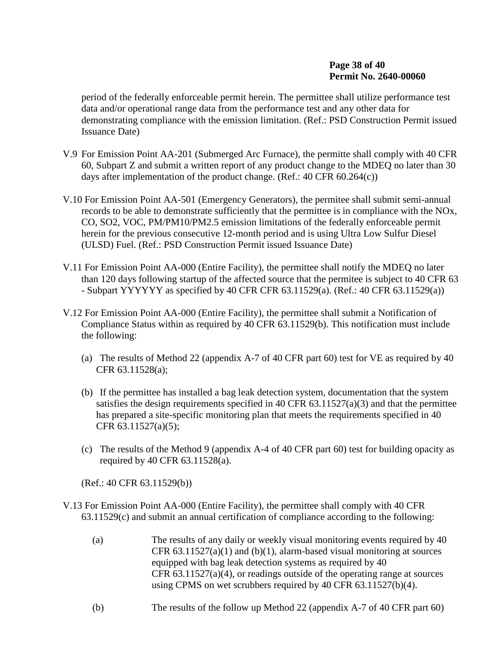## **Page 38 of 40 Permit No. 2640-00060**

period of the federally enforceable permit herein. The permittee shall utilize performance test data and/or operational range data from the performance test and any other data for demonstrating compliance with the emission limitation. (Ref.: PSD Construction Permit issued Issuance Date)

- V.9 For Emission Point AA-201 (Submerged Arc Furnace), the permitte shall comply with 40 CFR 60, Subpart Z and submit a written report of any product change to the MDEQ no later than 30 days after implementation of the product change. (Ref.: 40 CFR 60.264(c))
- V.10 For Emission Point AA-501 (Emergency Generators), the permitee shall submit semi-annual records to be able to demonstrate sufficiently that the permittee is in compliance with the NOx, CO, SO2, VOC, PM/PM10/PM2.5 emission limitations of the federally enforceable permit herein for the previous consecutive 12-month period and is using Ultra Low Sulfur Diesel (ULSD) Fuel. (Ref.: PSD Construction Permit issued Issuance Date)
- V.11 For Emission Point AA-000 (Entire Facility), the permittee shall notify the MDEQ no later than 120 days following startup of the affected source that the permitee is subject to 40 CFR 63 - Subpart YYYYYY as specified by 40 CFR CFR 63.11529(a). (Ref.: 40 CFR 63.11529(a))
- V.12 For Emission Point AA-000 (Entire Facility), the permittee shall submit a Notification of Compliance Status within as required by 40 CFR 63.11529(b). This notification must include the following:
	- (a) The results of Method 22 (appendix A-7 of 40 CFR part 60) test for VE as required by 40 CFR 63.11528(a);
	- (b) If the permittee has installed a bag leak detection system, documentation that the system satisfies the design requirements specified in 40 CFR  $63.11527(a)(3)$  and that the permittee has prepared a site-specific monitoring plan that meets the requirements specified in 40 CFR 63.11527(a)(5);
	- (c) The results of the Method 9 (appendix A-4 of 40 CFR part 60) test for building opacity as required by 40 CFR 63.11528(a).

(Ref.: 40 CFR 63.11529(b))

- V.13 For Emission Point AA-000 (Entire Facility), the permittee shall comply with 40 CFR 63.11529(c) and submit an annual certification of compliance according to the following:
	- (a) The results of any daily or weekly visual monitoring events required by 40 CFR  $63.11527(a)(1)$  and  $(b)(1)$ , alarm-based visual monitoring at sources equipped with bag leak detection systems as required by 40 CFR 63.11527(a)(4), or readings outside of the operating range at sources using CPMS on wet scrubbers required by 40 CFR 63.11527(b)(4).
	- (b) The results of the follow up Method 22 (appendix A-7 of 40 CFR part 60)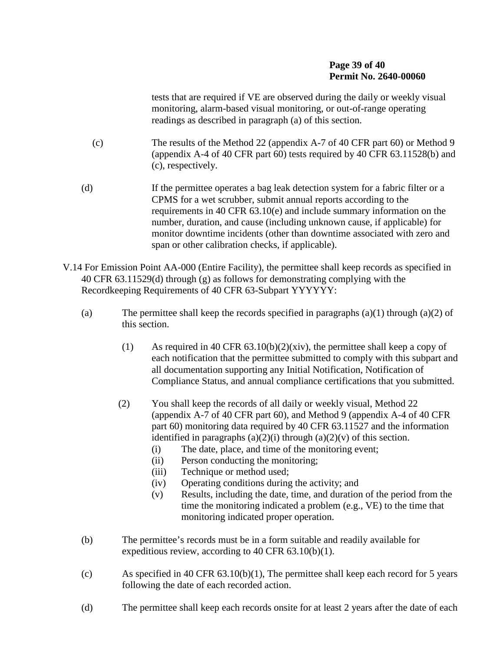## **Page 39 of 40 Permit No. 2640-00060**

tests that are required if VE are observed during the daily or weekly visual monitoring, alarm-based visual monitoring, or out-of-range operating readings as described in paragraph (a) of this section.

- (c) The results of the Method 22 (appendix A-7 of 40 CFR part 60) or Method 9 (appendix A-4 of 40 CFR part 60) tests required by 40 CFR 63.11528(b) and (c), respectively.
- (d) If the permittee operates a bag leak detection system for a fabric filter or a CPMS for a wet scrubber, submit annual reports according to the requirements in 40 CFR 63.10(e) and include summary information on the number, duration, and cause (including unknown cause, if applicable) for monitor downtime incidents (other than downtime associated with zero and span or other calibration checks, if applicable).
- V.14 For Emission Point AA-000 (Entire Facility), the permittee shall keep records as specified in 40 CFR 63.11529(d) through (g) as follows for demonstrating complying with the Recordkeeping Requirements of 40 CFR 63-Subpart YYYYYY:
	- (a) The permittee shall keep the records specified in paragraphs  $(a)(1)$  through  $(a)(2)$  of this section.
		- (1) As required in 40 CFR 63.10(b)(2)(xiv), the permittee shall keep a copy of each notification that the permittee submitted to comply with this subpart and all documentation supporting any Initial Notification, Notification of Compliance Status, and annual compliance certifications that you submitted.
		- (2) You shall keep the records of all daily or weekly visual, Method 22 (appendix A-7 of 40 CFR part 60), and Method 9 (appendix A-4 of 40 CFR part 60) monitoring data required by 40 CFR 63.11527 and the information identified in paragraphs  $(a)(2)(i)$  through  $(a)(2)(v)$  of this section.
			- (i) The date, place, and time of the monitoring event;
			- (ii) Person conducting the monitoring;
			- (iii) Technique or method used;
			- (iv) Operating conditions during the activity; and
			- (v) Results, including the date, time, and duration of the period from the time the monitoring indicated a problem (e.g., VE) to the time that monitoring indicated proper operation.
	- (b) The permittee's records must be in a form suitable and readily available for expeditious review, according to 40 CFR  $63.10(b)(1)$ .
	- (c) As specified in 40 CFR  $63.10(b)(1)$ , The permittee shall keep each record for 5 years following the date of each recorded action.
	- (d) The permittee shall keep each records onsite for at least 2 years after the date of each